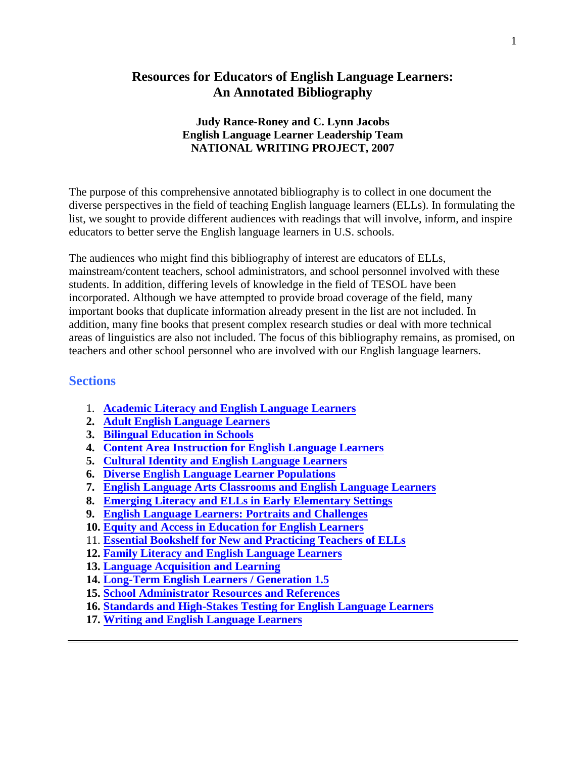## **Resources for Educators of English Language Learners: An Annotated Bibliography**

#### **Judy Rance-Roney and C. Lynn Jacobs English Language Learner Leadership Team NATIONAL WRITING PROJECT, 2007**

The purpose of this comprehensive annotated bibliography is to collect in one document the diverse perspectives in the field of teaching English language learners (ELLs). In formulating the list, we sought to provide different audiences with readings that will involve, inform, and inspire educators to better serve the English language learners in U.S. schools.

The audiences who might find this bibliography of interest are educators of ELLs, mainstream/content teachers, school administrators, and school personnel involved with these students. In addition, differing levels of knowledge in the field of TESOL have been incorporated. Although we have attempted to provide broad coverage of the field, many important books that duplicate information already present in the list are not included. In addition, many fine books that present complex research studies or deal with more technical areas of linguistics are also not included. The focus of this bibliography remains, as promised, on teachers and other school personnel who are involved with our English language learners.

## **Sections**

- 1. **[Academic Literacy and English Language Learners](#page-1-0)**
- **2. [Adult English Language Learners](#page-5-0)**
- **3. [Bilingual Education in Schools](#page-6-0)**
- **4. [Content Area Instruction for English Language Learners](#page-8-0)**
- **5. [Cultural Identity and English Language Learners](#page-10-0)**
- **6. [Diverse English Language Learner Populations](#page-12-0)**
- **7. [English Language Arts Classrooms](#page-14-0) and English Language Learners**
- **8. [Emerging Literacy and ELLs in Early Elementary Settings](#page-16-0)**
- **9. [English Language Learners:](#page-19-0) Portraits and Challenges**
- **10. [Equity and Access in Education for English Learners](#page-24-0)**
- 11. **[Essential Bookshelf for New and Practicing Teachers of ELLs](#page-26-0)**
- **12. [Family Literacy and English Language Learners](#page-29-0)**
- **13. [Language Acquisition and Learning](#page-30-0)**
- **14. [Long-Term English Learners](#page-32-0) / Generation 1.5**
- **15. [School Administrator Resources and References](#page-34-0)**
- **16. [Standards and High-Stakes](#page-36-0) Testing for English Language Learners**
- **17. [Writing and English Language Learners](#page-37-0)**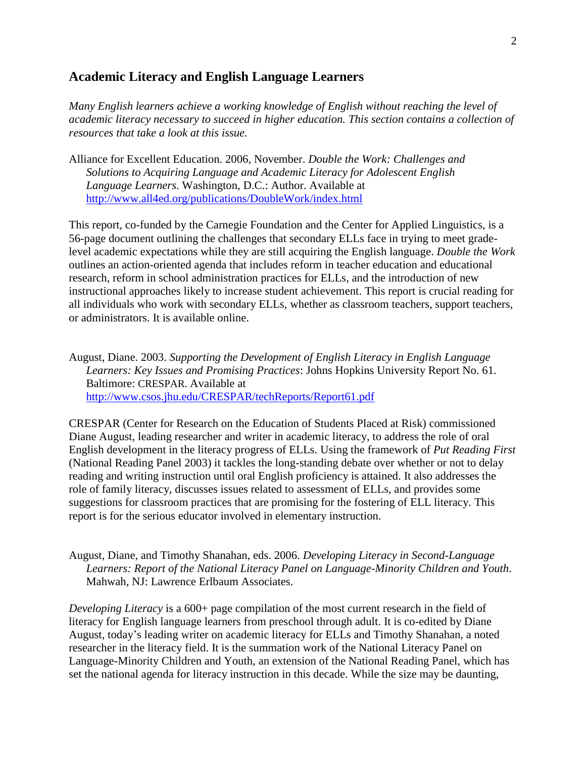### <span id="page-1-0"></span>**Academic Literacy and English Language Learners**

*Many English learners achieve a working knowledge of English without reaching the level of academic literacy necessary to succeed in higher education. This section contains a collection of resources that take a look at this issue.*

Alliance for Excellent Education. 2006, November. *Double the Work: Challenges and Solutions to Acquiring Language and Academic Literacy for Adolescent English Language Learners*. Washington, D.C.: Author. Available at <http://www.all4ed.org/publications/DoubleWork/index.html>

This report, co-funded by the Carnegie Foundation and the Center for Applied Linguistics, is a 56-page document outlining the challenges that secondary ELLs face in trying to meet gradelevel academic expectations while they are still acquiring the English language. *Double the Work* outlines an action-oriented agenda that includes reform in teacher education and educational research, reform in school administration practices for ELLs, and the introduction of new instructional approaches likely to increase student achievement. This report is crucial reading for all individuals who work with secondary ELLs, whether as classroom teachers, support teachers, or administrators. It is available online.

August, Diane. 2003. *Supporting the Development of English Literacy in English Language Learners: Key Issues and Promising Practices*: Johns Hopkins University Report No. 61. Baltimore: CRESPAR. Available at <http://www.csos.jhu.edu/CRESPAR/techReports/Report61.pdf>

CRESPAR (Center for Research on the Education of Students Placed at Risk) commissioned Diane August, leading researcher and writer in academic literacy, to address the role of oral English development in the literacy progress of ELLs. Using the framework of *Put Reading First* (National Reading Panel 2003) it tackles the long-standing debate over whether or not to delay reading and writing instruction until oral English proficiency is attained. It also addresses the role of family literacy, discusses issues related to assessment of ELLs, and provides some suggestions for classroom practices that are promising for the fostering of ELL literacy. This report is for the serious educator involved in elementary instruction.

August, Diane, and Timothy Shanahan, eds. 2006. *Developing Literacy in Second-Language Learners: Report of the National Literacy Panel on Language-Minority Children and Youth*. Mahwah, NJ: Lawrence Erlbaum Associates.

*Developing Literacy* is a 600+ page compilation of the most current research in the field of literacy for English language learners from preschool through adult. It is co-edited by Diane August, today's leading writer on academic literacy for ELLs and Timothy Shanahan, a noted researcher in the literacy field. It is the summation work of the National Literacy Panel on Language-Minority Children and Youth, an extension of the National Reading Panel, which has set the national agenda for literacy instruction in this decade. While the size may be daunting,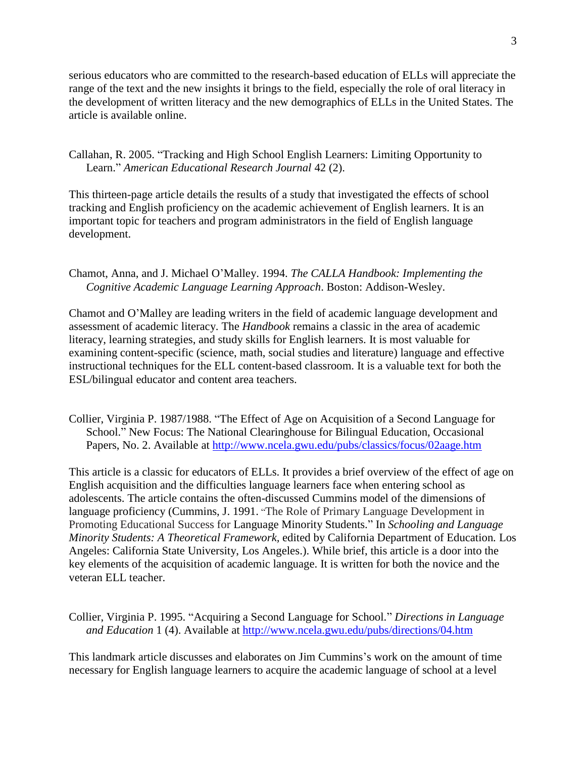serious educators who are committed to the research-based education of ELLs will appreciate the range of the text and the new insights it brings to the field, especially the role of oral literacy in the development of written literacy and the new demographics of ELLs in the United States. The article is available online.

Callahan, R. 2005. "Tracking and High School English Learners: Limiting Opportunity to Learn.‖ *American Educational Research Journal* 42 (2).

This thirteen-page article details the results of a study that investigated the effects of school tracking and English proficiency on the academic achievement of English learners. It is an important topic for teachers and program administrators in the field of English language development.

Chamot, Anna, and J. Michael O'Malley. 1994. *The CALLA Handbook: Implementing the Cognitive Academic Language Learning Approach*. Boston: Addison-Wesley.

Chamot and O'Malley are leading writers in the field of academic language development and assessment of academic literacy. The *Handbook* remains a classic in the area of academic literacy, learning strategies, and study skills for English learners. It is most valuable for examining content-specific (science, math, social studies and literature) language and effective instructional techniques for the ELL content-based classroom. It is a valuable text for both the ESL/bilingual educator and content area teachers.

Collier, Virginia P. 1987/1988. "The Effect of Age on Acquisition of a Second Language for School." New Focus: The National Clearinghouse for Bilingual Education, Occasional Papers, No. 2. Available at<http://www.ncela.gwu.edu/pubs/classics/focus/02aage.htm>

This article is a classic for educators of ELLs. It provides a brief overview of the effect of age on English acquisition and the difficulties language learners face when entering school as adolescents. The article contains the often-discussed Cummins model of the dimensions of language proficiency (Cummins, J. 1991. "The Role of Primary Language Development in Promoting Educational Success for Language Minority Students." In *Schooling and Language Minority Students: A Theoretical Framework,* edited by California Department of Education*.* Los Angeles: California State University, Los Angeles.). While brief, this article is a door into the key elements of the acquisition of academic language. It is written for both the novice and the veteran ELL teacher.

Collier, Virginia P. 1995. "Acquiring a Second Language for School." *Directions in Language and Education* 1 (4). Available at<http://www.ncela.gwu.edu/pubs/directions/04.htm>

This landmark article discusses and elaborates on Jim Cummins's work on the amount of time necessary for English language learners to acquire the academic language of school at a level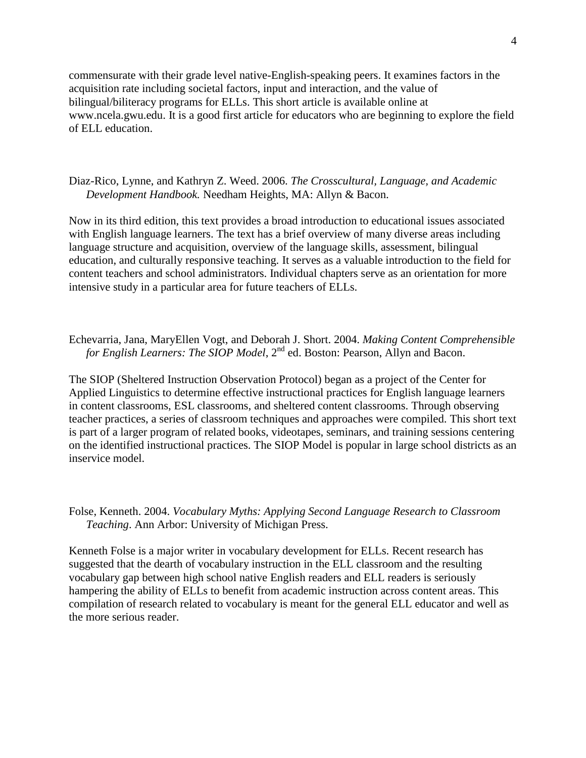commensurate with their grade level native-English-speaking peers. It examines factors in the acquisition rate including societal factors, input and interaction, and the value of bilingual/biliteracy programs for ELLs. This short article is available online at www.ncela.gwu.edu. It is a good first article for educators who are beginning to explore the field of ELL education.

Diaz-Rico, Lynne, and Kathryn Z. Weed. 2006. *The Crosscultural, Language, and Academic Development Handbook.* Needham Heights, MA: Allyn & Bacon.

Now in its third edition, this text provides a broad introduction to educational issues associated with English language learners. The text has a brief overview of many diverse areas including language structure and acquisition, overview of the language skills, assessment, bilingual education, and culturally responsive teaching. It serves as a valuable introduction to the field for content teachers and school administrators. Individual chapters serve as an orientation for more intensive study in a particular area for future teachers of ELLs.

Echevarria, Jana, MaryEllen Vogt, and Deborah J. Short. 2004. *Making Content Comprehensible for English Learners: The SIOP Model*, 2<sup>nd</sup> ed. Boston: Pearson, Allyn and Bacon.

The SIOP (Sheltered Instruction Observation Protocol) began as a project of the Center for Applied Linguistics to determine effective instructional practices for English language learners in content classrooms, ESL classrooms, and sheltered content classrooms. Through observing teacher practices, a series of classroom techniques and approaches were compiled. This short text is part of a larger program of related books, videotapes, seminars, and training sessions centering on the identified instructional practices. The SIOP Model is popular in large school districts as an inservice model.

Folse, Kenneth. 2004. *Vocabulary Myths: Applying Second Language Research to Classroom Teaching*. Ann Arbor: University of Michigan Press.

Kenneth Folse is a major writer in vocabulary development for ELLs. Recent research has suggested that the dearth of vocabulary instruction in the ELL classroom and the resulting vocabulary gap between high school native English readers and ELL readers is seriously hampering the ability of ELLs to benefit from academic instruction across content areas. This compilation of research related to vocabulary is meant for the general ELL educator and well as the more serious reader.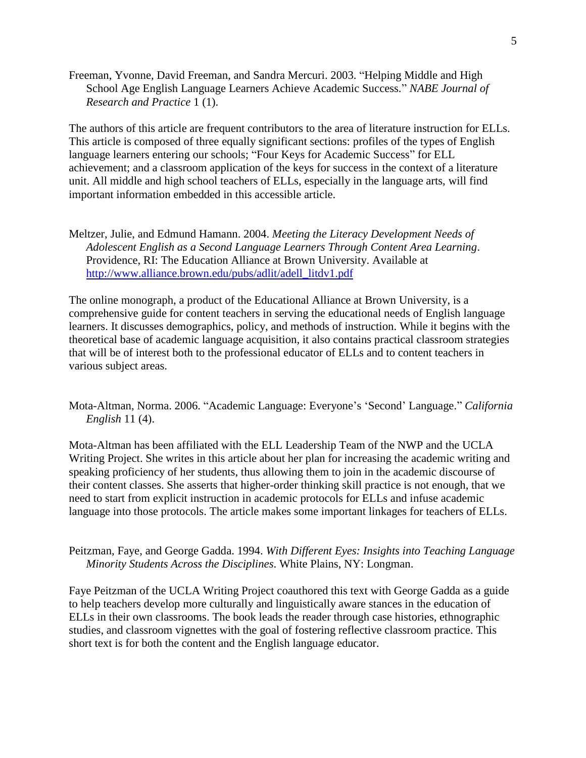Freeman, Yvonne, David Freeman, and Sandra Mercuri. 2003. "Helping Middle and High School Age English Language Learners Achieve Academic Success." *NABE Journal of Research and Practice* 1 (1).

The authors of this article are frequent contributors to the area of literature instruction for ELLs. This article is composed of three equally significant sections: profiles of the types of English language learners entering our schools; "Four Keys for Academic Success" for ELL achievement; and a classroom application of the keys for success in the context of a literature unit. All middle and high school teachers of ELLs, especially in the language arts, will find important information embedded in this accessible article.

Meltzer, Julie, and Edmund Hamann. 2004. *Meeting the Literacy Development Needs of Adolescent English as a Second Language Learners Through Content Area Learning*. Providence, RI: The Education Alliance at Brown University. Available at [http://www.alliance.brown.edu/pubs/adlit/adell\\_litdv1.pdf](http://www.alliance.brown.edu/pubs/adlit/adell_litdv1.pdf)

The online monograph, a product of the Educational Alliance at Brown University, is a comprehensive guide for content teachers in serving the educational needs of English language learners. It discusses demographics, policy, and methods of instruction. While it begins with the theoretical base of academic language acquisition, it also contains practical classroom strategies that will be of interest both to the professional educator of ELLs and to content teachers in various subject areas.

Mota-Altman, Norma. 2006. "Academic Language: Everyone's 'Second' Language." *California English* 11 (4).

Mota-Altman has been affiliated with the ELL Leadership Team of the NWP and the UCLA Writing Project. She writes in this article about her plan for increasing the academic writing and speaking proficiency of her students, thus allowing them to join in the academic discourse of their content classes. She asserts that higher-order thinking skill practice is not enough, that we need to start from explicit instruction in academic protocols for ELLs and infuse academic language into those protocols. The article makes some important linkages for teachers of ELLs.

Peitzman, Faye, and George Gadda. 1994. *With Different Eyes: Insights into Teaching Language Minority Students Across the Disciplines*. White Plains, NY: Longman.

Faye Peitzman of the UCLA Writing Project coauthored this text with George Gadda as a guide to help teachers develop more culturally and linguistically aware stances in the education of ELLs in their own classrooms. The book leads the reader through case histories, ethnographic studies, and classroom vignettes with the goal of fostering reflective classroom practice. This short text is for both the content and the English language educator.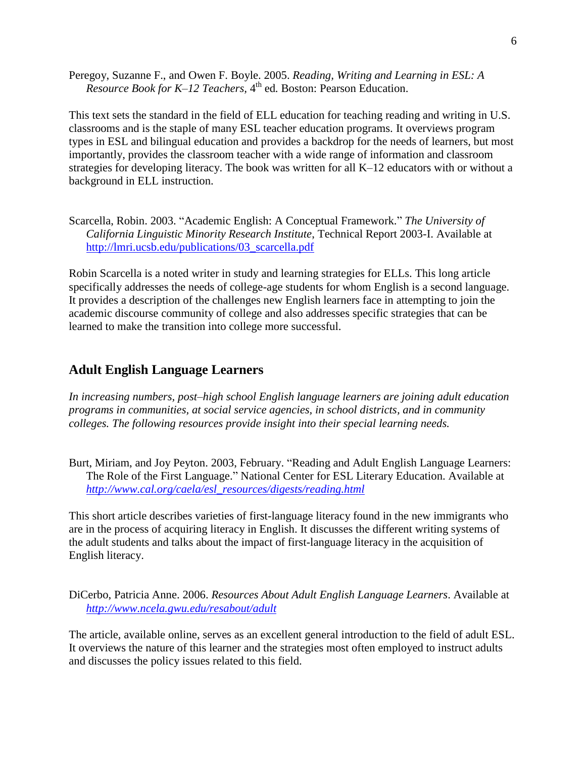<span id="page-5-0"></span>Peregoy, Suzanne F., and Owen F. Boyle. 2005. *Reading, Writing and Learning in ESL: A Resource Book for K–12 Teachers,* 4 th ed*.* Boston: Pearson Education.

This text sets the standard in the field of ELL education for teaching reading and writing in U.S. classrooms and is the staple of many ESL teacher education programs. It overviews program types in ESL and bilingual education and provides a backdrop for the needs of learners, but most importantly, provides the classroom teacher with a wide range of information and classroom strategies for developing literacy. The book was written for all K–12 educators with or without a background in ELL instruction.

Scarcella, Robin. 2003. "Academic English: A Conceptual Framework." The University of *California Linguistic Minority Research Institute*, Technical Report 2003-I. Available at [http://lmri.ucsb.edu/publications/03\\_scarcella.pdf](http://lmri.ucsb.edu/publications/03_scarcella.pdf)

Robin Scarcella is a noted writer in study and learning strategies for ELLs. This long article specifically addresses the needs of college-age students for whom English is a second language. It provides a description of the challenges new English learners face in attempting to join the academic discourse community of college and also addresses specific strategies that can be learned to make the transition into college more successful.

## **Adult English Language Learners**

*In increasing numbers, post–high school English language learners are joining adult education programs in communities, at social service agencies, in school districts, and in community colleges. The following resources provide insight into their special learning needs.*

Burt, Miriam, and Joy Peyton. 2003, February. "Reading and Adult English Language Learners: The Role of the First Language." National Center for ESL Literary Education. Available at *[http://www.cal.org/caela/esl\\_resources/digests/reading.html](http://www.cal.org/caela/esl_resources/digests/reading.html)*

This short article describes varieties of first-language literacy found in the new immigrants who are in the process of acquiring literacy in English. It discusses the different writing systems of the adult students and talks about the impact of first-language literacy in the acquisition of English literacy.

DiCerbo, Patricia Anne. 2006. *Resources About Adult English Language Learners*. Available at *<http://www.ncela.gwu.edu/resabout/adult>*

The article, available online, serves as an excellent general introduction to the field of adult ESL. It overviews the nature of this learner and the strategies most often employed to instruct adults and discusses the policy issues related to this field.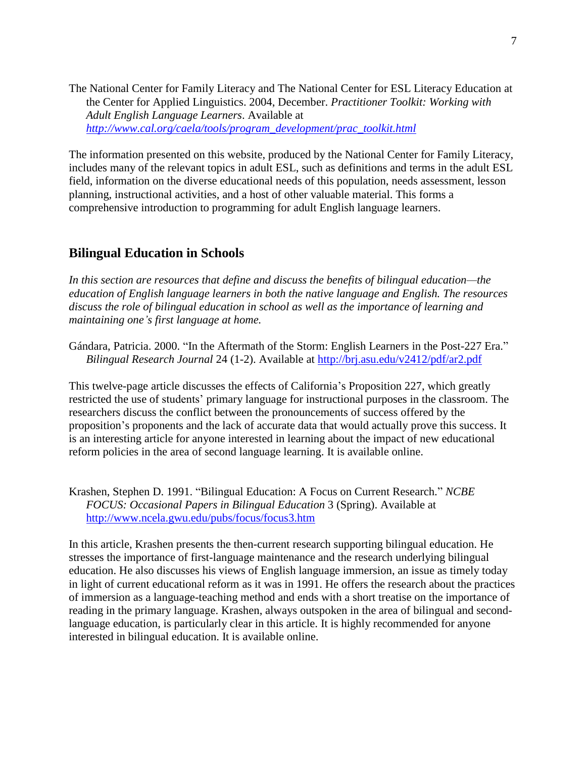<span id="page-6-0"></span>The National Center for Family Literacy and The National Center for ESL Literacy Education at the Center for Applied Linguistics. 2004, December. *Practitioner Toolkit: Working with Adult English Language Learners*. Available at *[http://www.cal.org/caela/tools/program\\_development/prac\\_toolkit.html](http://www.cal.org/caela/tools/program_development/prac_toolkit.html)*

The information presented on this website, produced by the National Center for Family Literacy, includes many of the relevant topics in adult ESL, such as definitions and terms in the adult ESL field, information on the diverse educational needs of this population, needs assessment, lesson planning, instructional activities, and a host of other valuable material. This forms a comprehensive introduction to programming for adult English language learners.

### **Bilingual Education in Schools**

*In this section are resources that define and discuss the benefits of bilingual education—the education of English language learners in both the native language and English. The resources discuss the role of bilingual education in school as well as the importance of learning and maintaining one's first language at home.*

Gándara, Patricia. 2000. "In the Aftermath of the Storm: English Learners in the Post-227 Era." *Bilingual Research Journal* 24 (1-2). Available at<http://brj.asu.edu/v2412/pdf/ar2.pdf>

This twelve-page article discusses the effects of California's Proposition 227, which greatly restricted the use of students' primary language for instructional purposes in the classroom. The researchers discuss the conflict between the pronouncements of success offered by the proposition's proponents and the lack of accurate data that would actually prove this success. It is an interesting article for anyone interested in learning about the impact of new educational reform policies in the area of second language learning. It is available online.

Krashen, Stephen D. 1991. "Bilingual Education: A Focus on Current Research." *NCBE FOCUS: Occasional Papers in Bilingual Education* 3 (Spring). Available at <http://www.ncela.gwu.edu/pubs/focus/focus3.htm>

In this article, Krashen presents the then-current research supporting bilingual education. He stresses the importance of first-language maintenance and the research underlying bilingual education. He also discusses his views of English language immersion, an issue as timely today in light of current educational reform as it was in 1991. He offers the research about the practices of immersion as a language-teaching method and ends with a short treatise on the importance of reading in the primary language. Krashen, always outspoken in the area of bilingual and secondlanguage education, is particularly clear in this article. It is highly recommended for anyone interested in bilingual education. It is available online.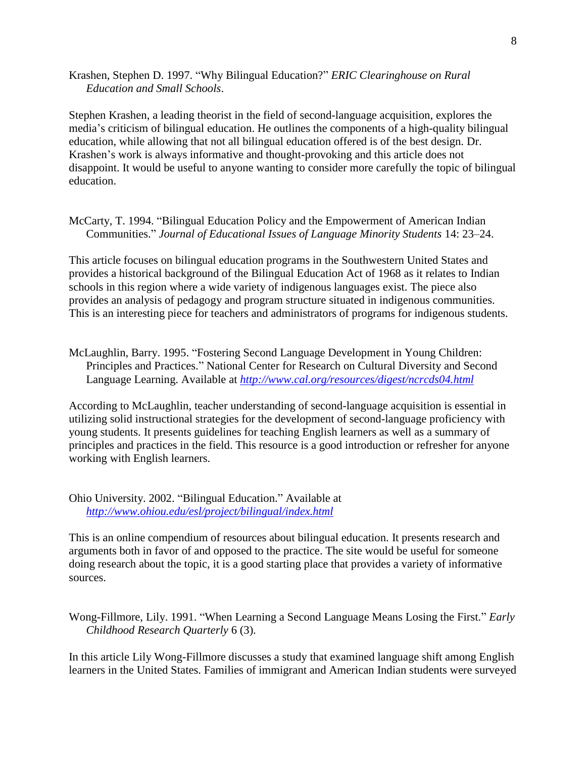Krashen, Stephen D. 1997. "Why Bilingual Education?" *ERIC Clearinghouse on Rural Education and Small Schools*.

Stephen Krashen, a leading theorist in the field of second-language acquisition, explores the media's criticism of bilingual education. He outlines the components of a high-quality bilingual education, while allowing that not all bilingual education offered is of the best design. Dr. Krashen's work is always informative and thought-provoking and this article does not disappoint. It would be useful to anyone wanting to consider more carefully the topic of bilingual education.

McCarty, T. 1994. "Bilingual Education Policy and the Empowerment of American Indian Communities.‖ *Journal of Educational Issues of Language Minority Students* 14: 23–24.

This article focuses on bilingual education programs in the Southwestern United States and provides a historical background of the Bilingual Education Act of 1968 as it relates to Indian schools in this region where a wide variety of indigenous languages exist. The piece also provides an analysis of pedagogy and program structure situated in indigenous communities. This is an interesting piece for teachers and administrators of programs for indigenous students.

McLaughlin, Barry. 1995. "Fostering Second Language Development in Young Children: Principles and Practices." National Center for Research on Cultural Diversity and Second Language Learning. Available at *<http://www.cal.org/resources/digest/ncrcds04.html>*

According to McLaughlin, teacher understanding of second-language acquisition is essential in utilizing solid instructional strategies for the development of second-language proficiency with young students. It presents guidelines for teaching English learners as well as a summary of principles and practices in the field. This resource is a good introduction or refresher for anyone working with English learners.

Ohio University. 2002. "Bilingual Education." Available at *<http://www.ohiou.edu/esl/project/bilingual/index.html>*

This is an online compendium of resources about bilingual education. It presents research and arguments both in favor of and opposed to the practice. The site would be useful for someone doing research about the topic, it is a good starting place that provides a variety of informative sources.

Wong-Fillmore, Lily. 1991. "When Learning a Second Language Means Losing the First." *Early Childhood Research Quarterly* 6 (3).

In this article Lily Wong-Fillmore discusses a study that examined language shift among English learners in the United States. Families of immigrant and American Indian students were surveyed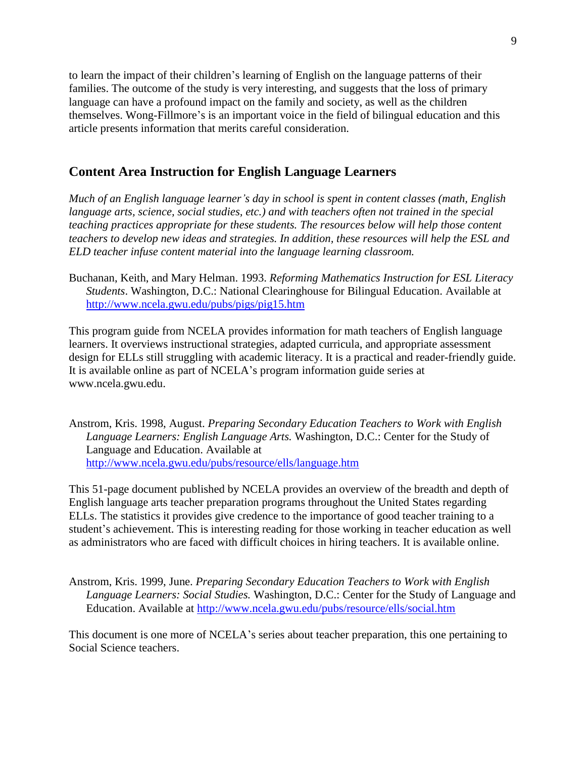<span id="page-8-0"></span>to learn the impact of their children's learning of English on the language patterns of their families. The outcome of the study is very interesting, and suggests that the loss of primary language can have a profound impact on the family and society, as well as the children themselves. Wong-Fillmore's is an important voice in the field of bilingual education and this article presents information that merits careful consideration.

## **Content Area Instruction for English Language Learners**

*Much of an English language learner's day in school is spent in content classes (math, English language arts, science, social studies, etc.) and with teachers often not trained in the special teaching practices appropriate for these students. The resources below will help those content teachers to develop new ideas and strategies. In addition, these resources will help the ESL and ELD teacher infuse content material into the language learning classroom.*

Buchanan, Keith, and Mary Helman. 1993. *Reforming Mathematics Instruction for ESL Literacy Students*. Washington, D.C.: National Clearinghouse for Bilingual Education. Available at <http://www.ncela.gwu.edu/pubs/pigs/pig15.htm>

This program guide from NCELA provides information for math teachers of English language learners. It overviews instructional strategies, adapted curricula, and appropriate assessment design for ELLs still struggling with academic literacy. It is a practical and reader-friendly guide. It is available online as part of NCELA's program information guide series at www.ncela.gwu.edu.

Anstrom, Kris. 1998, August. *Preparing Secondary Education Teachers to Work with English Language Learners: English Language Arts.* Washington, D.C.: Center for the Study of Language and Education. Available at <http://www.ncela.gwu.edu/pubs/resource/ells/language.htm>

This 51-page document published by NCELA provides an overview of the breadth and depth of English language arts teacher preparation programs throughout the United States regarding ELLs. The statistics it provides give credence to the importance of good teacher training to a student's achievement. This is interesting reading for those working in teacher education as well as administrators who are faced with difficult choices in hiring teachers. It is available online.

Anstrom, Kris. 1999, June. *Preparing Secondary Education Teachers to Work with English Language Learners: Social Studies.* Washington, D.C.: Center for the Study of Language and Education. Available at<http://www.ncela.gwu.edu/pubs/resource/ells/social.htm>

This document is one more of NCELA's series about teacher preparation, this one pertaining to Social Science teachers.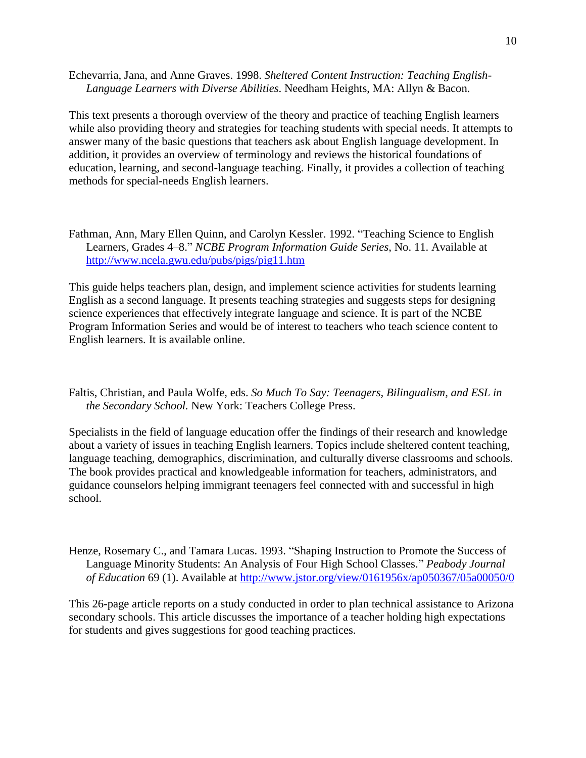Echevarria, Jana, and Anne Graves. 1998. *Sheltered Content Instruction: Teaching English-Language Learners with Diverse Abilities*. Needham Heights, MA: Allyn & Bacon.

This text presents a thorough overview of the theory and practice of teaching English learners while also providing theory and strategies for teaching students with special needs. It attempts to answer many of the basic questions that teachers ask about English language development. In addition, it provides an overview of terminology and reviews the historical foundations of education, learning, and second-language teaching. Finally, it provides a collection of teaching methods for special-needs English learners.

Fathman, Ann, Mary Ellen Quinn, and Carolyn Kessler. 1992. "Teaching Science to English Learners, Grades 4–8." *NCBE Program Information Guide Series*, No. 11. Available at <http://www.ncela.gwu.edu/pubs/pigs/pig11.htm>

This guide helps teachers plan, design, and implement science activities for students learning English as a second language. It presents teaching strategies and suggests steps for designing science experiences that effectively integrate language and science. It is part of the NCBE Program Information Series and would be of interest to teachers who teach science content to English learners. It is available online.

Faltis, Christian, and Paula Wolfe, eds. *So Much To Say: Teenagers, Bilingualism, and ESL in the Secondary School.* New York: Teachers College Press.

Specialists in the field of language education offer the findings of their research and knowledge about a variety of issues in teaching English learners. Topics include sheltered content teaching, language teaching, demographics, discrimination, and culturally diverse classrooms and schools. The book provides practical and knowledgeable information for teachers, administrators, and guidance counselors helping immigrant teenagers feel connected with and successful in high school.

Henze, Rosemary C., and Tamara Lucas. 1993. "Shaping Instruction to Promote the Success of Language Minority Students: An Analysis of Four High School Classes." *Peabody Journal of Education* 69 (1). Available at<http://www.jstor.org/view/0161956x/ap050367/05a00050/0>

This 26-page article reports on a study conducted in order to plan technical assistance to Arizona secondary schools. This article discusses the importance of a teacher holding high expectations for students and gives suggestions for good teaching practices.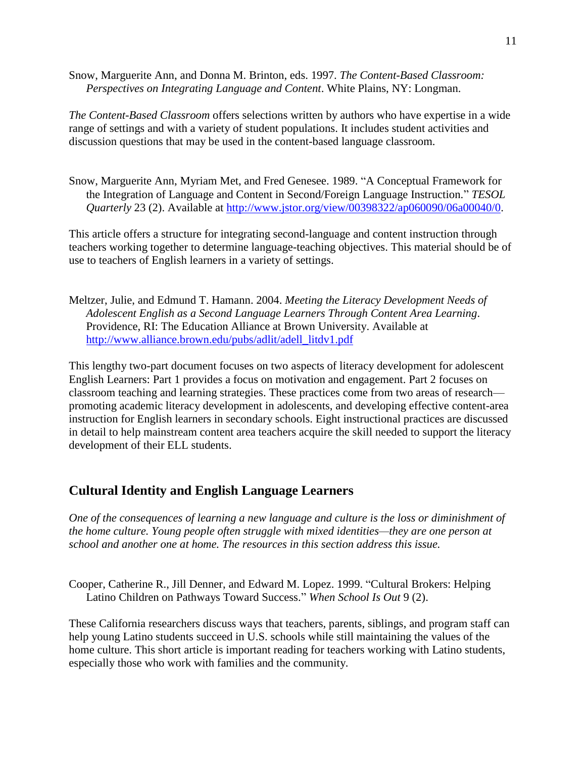<span id="page-10-0"></span>Snow, Marguerite Ann, and Donna M. Brinton, eds. 1997. *The Content-Based Classroom: Perspectives on Integrating Language and Content*. White Plains, NY: Longman.

*The Content-Based Classroom* offers selections written by authors who have expertise in a wide range of settings and with a variety of student populations. It includes student activities and discussion questions that may be used in the content-based language classroom.

Snow, Marguerite Ann, Myriam Met, and Fred Genesee. 1989. "A Conceptual Framework for the Integration of Language and Content in Second/Foreign Language Instruction." *TESOL Quarterly* 23 (2). Available at [http://www.jstor.org/view/00398322/ap060090/06a00040/0.](http://www.jstor.org/view/00398322/ap060090/06a00040/0)

This article offers a structure for integrating second-language and content instruction through teachers working together to determine language-teaching objectives. This material should be of use to teachers of English learners in a variety of settings.

Meltzer, Julie, and Edmund T. Hamann. 2004. *Meeting the Literacy Development Needs of Adolescent English as a Second Language Learners Through Content Area Learning*. Providence, RI: The Education Alliance at Brown University. Available at [http://www.alliance.brown.edu/pubs/adlit/adell\\_litdv1.pdf](http://www.alliance.brown.edu/pubs/adlit/adell_litdv1.pdf)

This lengthy two-part document focuses on two aspects of literacy development for adolescent English Learners: Part 1 provides a focus on motivation and engagement. Part 2 focuses on classroom teaching and learning strategies. These practices come from two areas of research promoting academic literacy development in adolescents, and developing effective content-area instruction for English learners in secondary schools. Eight instructional practices are discussed in detail to help mainstream content area teachers acquire the skill needed to support the literacy development of their ELL students.

# **Cultural Identity and English Language Learners**

*One of the consequences of learning a new language and culture is the loss or diminishment of the home culture. Young people often struggle with mixed identities—they are one person at school and another one at home. The resources in this section address this issue.*

Cooper, Catherine R., Jill Denner, and Edward M. Lopez. 1999. "Cultural Brokers: Helping Latino Children on Pathways Toward Success." When School Is Out 9 (2).

These California researchers discuss ways that teachers, parents, siblings, and program staff can help young Latino students succeed in U.S. schools while still maintaining the values of the home culture. This short article is important reading for teachers working with Latino students, especially those who work with families and the community.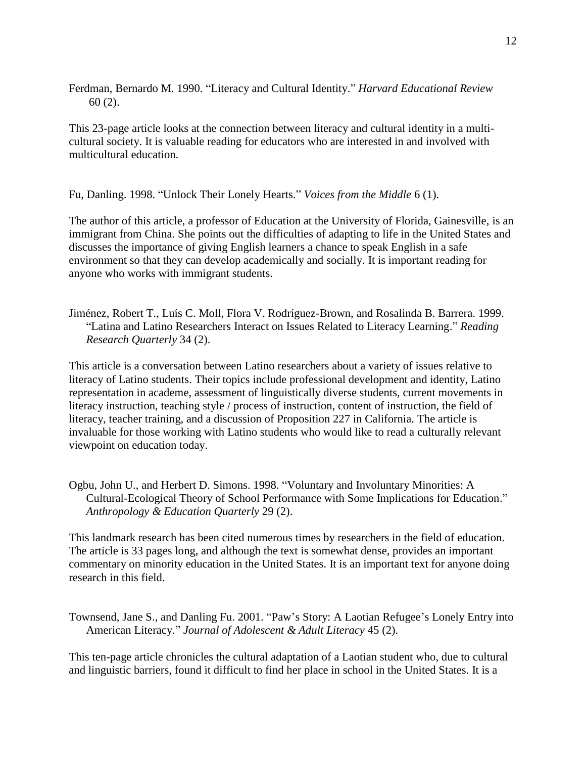Ferdman, Bernardo M. 1990. "Literacy and Cultural Identity." *Harvard Educational Review* 60 (2).

This 23-page article looks at the connection between literacy and cultural identity in a multicultural society. It is valuable reading for educators who are interested in and involved with multicultural education.

Fu, Danling. 1998. "Unlock Their Lonely Hearts." *Voices from the Middle* 6 (1).

The author of this article, a professor of Education at the University of Florida, Gainesville, is an immigrant from China. She points out the difficulties of adapting to life in the United States and discusses the importance of giving English learners a chance to speak English in a safe environment so that they can develop academically and socially. It is important reading for anyone who works with immigrant students.

Jiménez, Robert T., Luís C. Moll, Flora V. Rodríguez-Brown, and Rosalinda B. Barrera. 1999. ―Latina and Latino Researchers Interact on Issues Related to Literacy Learning.‖ *Reading Research Quarterly* 34 (2).

This article is a conversation between Latino researchers about a variety of issues relative to literacy of Latino students. Their topics include professional development and identity, Latino representation in academe, assessment of linguistically diverse students, current movements in literacy instruction, teaching style / process of instruction, content of instruction, the field of literacy, teacher training, and a discussion of Proposition 227 in California. The article is invaluable for those working with Latino students who would like to read a culturally relevant viewpoint on education today.

Ogbu, John U., and Herbert D. Simons. 1998. "Voluntary and Involuntary Minorities: A Cultural-Ecological Theory of School Performance with Some Implications for Education." *Anthropology & Education Quarterly* 29 (2).

This landmark research has been cited numerous times by researchers in the field of education. The article is 33 pages long, and although the text is somewhat dense, provides an important commentary on minority education in the United States. It is an important text for anyone doing research in this field.

Townsend, Jane S., and Danling Fu. 2001. "Paw's Story: A Laotian Refugee's Lonely Entry into American Literacy.‖ *Journal of Adolescent & Adult Literacy* 45 (2).

This ten-page article chronicles the cultural adaptation of a Laotian student who, due to cultural and linguistic barriers, found it difficult to find her place in school in the United States. It is a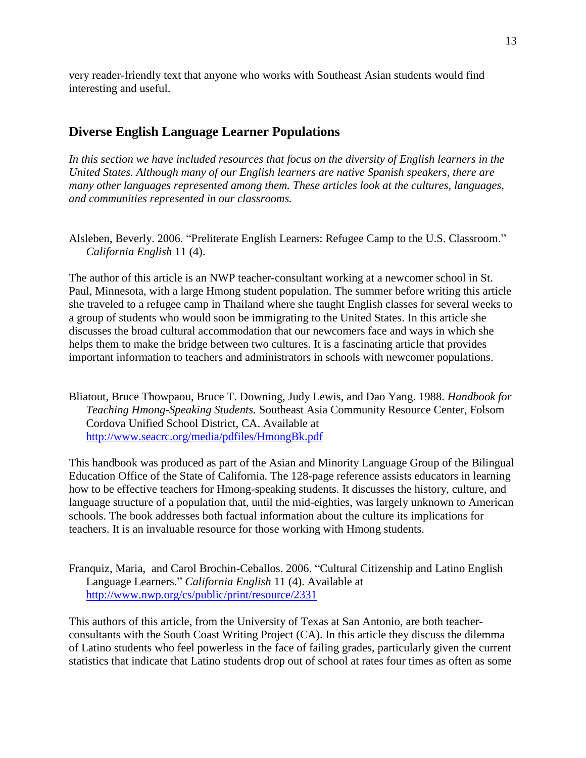<span id="page-12-0"></span>very reader-friendly text that anyone who works with Southeast Asian students would find interesting and useful.

## **Diverse English Language Learner Populations**

*In this section we have included resources that focus on the diversity of English learners in the United States. Although many of our English learners are native Spanish speakers, there are many other languages represented among them. These articles look at the cultures, languages, and communities represented in our classrooms.*

Alsleben, Beverly. 2006. "Preliterate English Learners: Refugee Camp to the U.S. Classroom." *California English* 11 (4).

The author of this article is an NWP teacher-consultant working at a newcomer school in St. Paul, Minnesota, with a large Hmong student population. The summer before writing this article she traveled to a refugee camp in Thailand where she taught English classes for several weeks to a group of students who would soon be immigrating to the United States. In this article she discusses the broad cultural accommodation that our newcomers face and ways in which she helps them to make the bridge between two cultures. It is a fascinating article that provides important information to teachers and administrators in schools with newcomer populations.

Bliatout, Bruce Thowpaou, Bruce T. Downing, Judy Lewis, and Dao Yang. 1988. *Handbook for Teaching Hmong-Speaking Students.* Southeast Asia Community Resource Center, Folsom Cordova Unified School District, CA. Available at <http://www.seacrc.org/media/pdfiles/HmongBk.pdf>

This handbook was produced as part of the Asian and Minority Language Group of the Bilingual Education Office of the State of California. The 128-page reference assists educators in learning how to be effective teachers for Hmong-speaking students. It discusses the history, culture, and language structure of a population that, until the mid-eighties, was largely unknown to American schools. The book addresses both factual information about the culture its implications for teachers. It is an invaluable resource for those working with Hmong students.

Franquiz, Maria, and Carol Brochin-Ceballos. 2006. "Cultural Citizenship and Latino English Language Learners.‖ *California English* 11 (4). Available at <http://www.nwp.org/cs/public/print/resource/2331>

This authors of this article, from the University of Texas at San Antonio, are both teacherconsultants with the South Coast Writing Project (CA). In this article they discuss the dilemma of Latino students who feel powerless in the face of failing grades, particularly given the current statistics that indicate that Latino students drop out of school at rates four times as often as some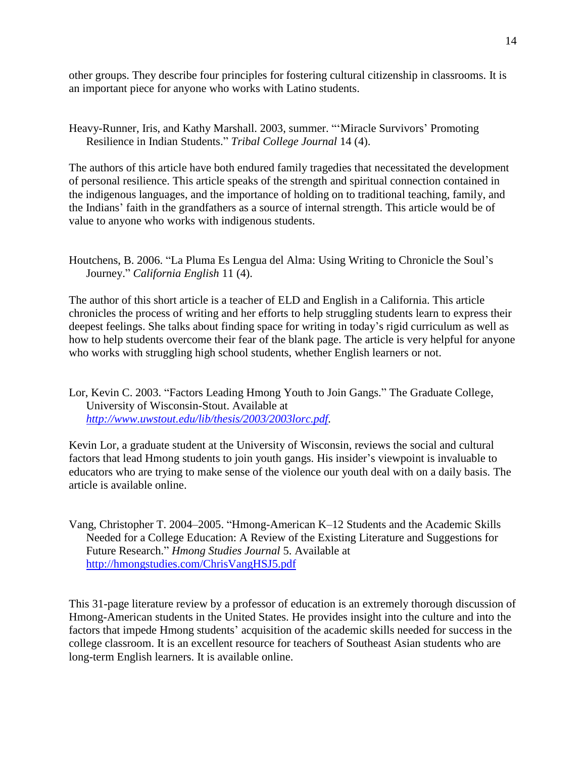other groups. They describe four principles for fostering cultural citizenship in classrooms. It is an important piece for anyone who works with Latino students.

Heavy-Runner, Iris, and Kathy Marshall. 2003, summer. "'Miracle Survivors' Promoting Resilience in Indian Students.‖ *Tribal College Journal* 14 (4).

The authors of this article have both endured family tragedies that necessitated the development of personal resilience. This article speaks of the strength and spiritual connection contained in the indigenous languages, and the importance of holding on to traditional teaching, family, and the Indians' faith in the grandfathers as a source of internal strength. This article would be of value to anyone who works with indigenous students.

Houtchens, B. 2006. "La Pluma Es Lengua del Alma: Using Writing to Chronicle the Soul's Journey.‖ *California English* 11 (4).

The author of this short article is a teacher of ELD and English in a California. This article chronicles the process of writing and her efforts to help struggling students learn to express their deepest feelings. She talks about finding space for writing in today's rigid curriculum as well as how to help students overcome their fear of the blank page. The article is very helpful for anyone who works with struggling high school students, whether English learners or not.

Lor, Kevin C. 2003. "Factors Leading Hmong Youth to Join Gangs." The Graduate College, University of Wisconsin-Stout. Available at *[http://www.uwstout.edu/lib/thesis/2003/2003lorc.pdf.](http://www.uwstout.edu/lib/thesis/2003/2003lorc.pdf)* 

Kevin Lor, a graduate student at the University of Wisconsin, reviews the social and cultural factors that lead Hmong students to join youth gangs. His insider's viewpoint is invaluable to educators who are trying to make sense of the violence our youth deal with on a daily basis. The article is available online.

Vang, Christopher T. 2004–2005. "Hmong-American K–12 Students and the Academic Skills Needed for a College Education: A Review of the Existing Literature and Suggestions for Future Research.‖ *Hmong Studies Journal* 5. Available at <http://hmongstudies.com/ChrisVangHSJ5.pdf>

This 31-page literature review by a professor of education is an extremely thorough discussion of Hmong-American students in the United States. He provides insight into the culture and into the factors that impede Hmong students' acquisition of the academic skills needed for success in the college classroom. It is an excellent resource for teachers of Southeast Asian students who are long-term English learners. It is available online.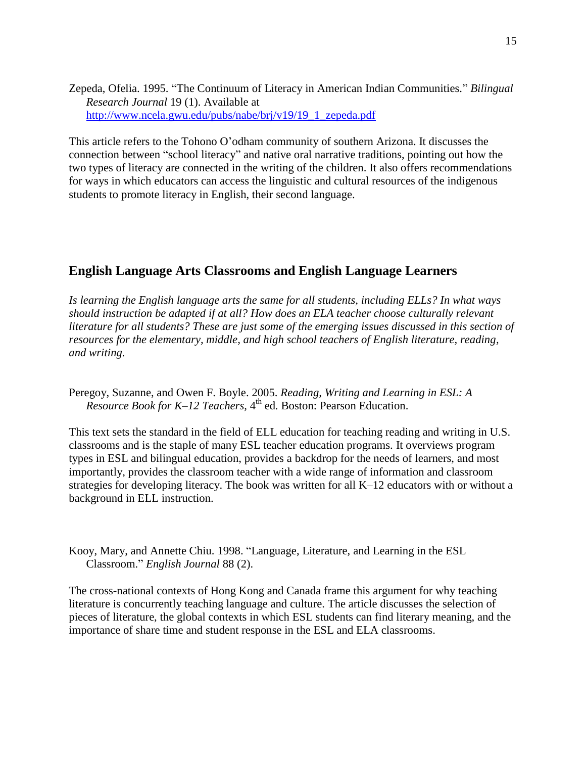<span id="page-14-0"></span>Zepeda, Ofelia. 1995. "The Continuum of Literacy in American Indian Communities." *Bilingual Research Journal* 19 (1). Available at [http://www.ncela.gwu.edu/pubs/nabe/brj/v19/19\\_1\\_zepeda.pdf](http://www.ncela.gwu.edu/pubs/nabe/brj/v19/19_1_zepeda.pdf)

This article refers to the Tohono O'odham community of southern Arizona. It discusses the connection between "school literacy" and native oral narrative traditions, pointing out how the two types of literacy are connected in the writing of the children. It also offers recommendations for ways in which educators can access the linguistic and cultural resources of the indigenous students to promote literacy in English, their second language.

## **English Language Arts Classrooms and English Language Learners**

*Is learning the English language arts the same for all students, including ELLs? In what ways should instruction be adapted if at all? How does an ELA teacher choose culturally relevant literature for all students? These are just some of the emerging issues discussed in this section of resources for the elementary, middle, and high school teachers of English literature, reading, and writing.*

Peregoy, Suzanne, and Owen F. Boyle. 2005. *Reading, Writing and Learning in ESL: A Resource Book for K–12 Teachers,* 4 th ed*.* Boston: Pearson Education.

This text sets the standard in the field of ELL education for teaching reading and writing in U.S. classrooms and is the staple of many ESL teacher education programs. It overviews program types in ESL and bilingual education, provides a backdrop for the needs of learners, and most importantly, provides the classroom teacher with a wide range of information and classroom strategies for developing literacy. The book was written for all K–12 educators with or without a background in ELL instruction.

Kooy, Mary, and Annette Chiu. 1998. "Language, Literature, and Learning in the ESL Classroom.‖ *English Journal* 88 (2).

The cross-national contexts of Hong Kong and Canada frame this argument for why teaching literature is concurrently teaching language and culture. The article discusses the selection of pieces of literature, the global contexts in which ESL students can find literary meaning, and the importance of share time and student response in the ESL and ELA classrooms.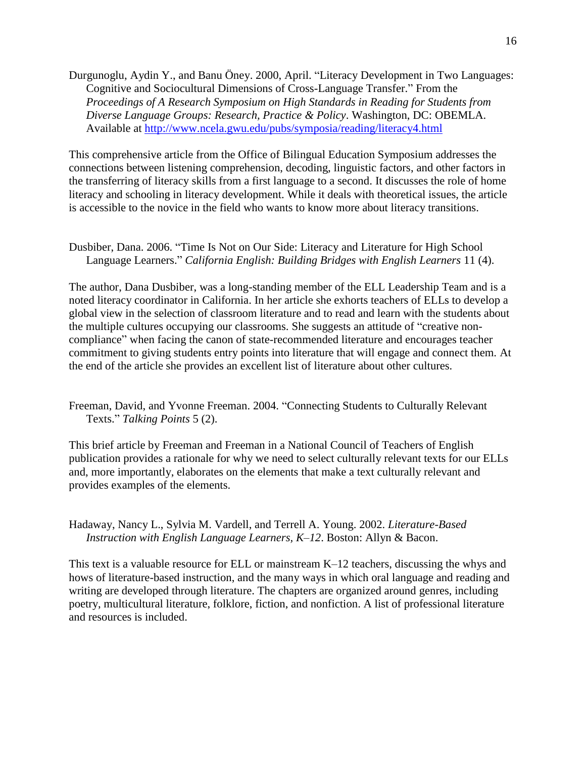Durgunoglu, Aydin Y., and Banu Öney. 2000, April. "Literacy Development in Two Languages: Cognitive and Sociocultural Dimensions of Cross-Language Transfer." From the *Proceedings of A Research Symposium on High Standards in Reading for Students from Diverse Language Groups: Research, Practice & Policy*. Washington, DC: OBEMLA. Available at<http://www.ncela.gwu.edu/pubs/symposia/reading/literacy4.html>

This comprehensive article from the Office of Bilingual Education Symposium addresses the connections between listening comprehension, decoding, linguistic factors, and other factors in the transferring of literacy skills from a first language to a second. It discusses the role of home literacy and schooling in literacy development. While it deals with theoretical issues, the article is accessible to the novice in the field who wants to know more about literacy transitions.

Dusbiber, Dana. 2006. "Time Is Not on Our Side: Literacy and Literature for High School Language Learners." *California English: Building Bridges with English Learners* 11 (4).

The author, Dana Dusbiber, was a long-standing member of the ELL Leadership Team and is a noted literacy coordinator in California. In her article she exhorts teachers of ELLs to develop a global view in the selection of classroom literature and to read and learn with the students about the multiple cultures occupying our classrooms. She suggests an attitude of "creative noncompliance" when facing the canon of state-recommended literature and encourages teacher commitment to giving students entry points into literature that will engage and connect them. At the end of the article she provides an excellent list of literature about other cultures.

Freeman, David, and Yvonne Freeman. 2004. "Connecting Students to Culturally Relevant Texts.‖ *Talking Points* 5 (2).

This brief article by Freeman and Freeman in a National Council of Teachers of English publication provides a rationale for why we need to select culturally relevant texts for our ELLs and, more importantly, elaborates on the elements that make a text culturally relevant and provides examples of the elements.

Hadaway, Nancy L., Sylvia M. Vardell, and Terrell A. Young. 2002. *Literature-Based Instruction with English Language Learners, K–12*. Boston: Allyn & Bacon.

This text is a valuable resource for ELL or mainstream K–12 teachers, discussing the whys and hows of literature-based instruction, and the many ways in which oral language and reading and writing are developed through literature. The chapters are organized around genres, including poetry, multicultural literature, folklore, fiction, and nonfiction. A list of professional literature and resources is included.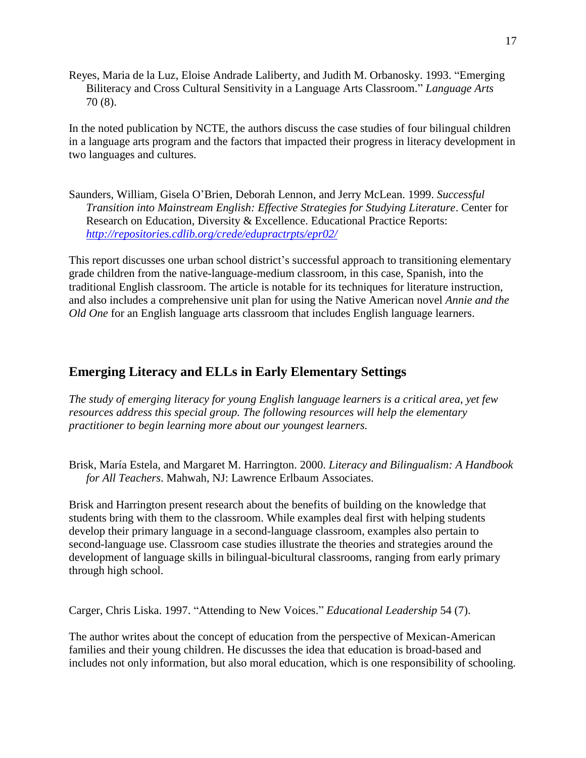<span id="page-16-0"></span>Reyes, Maria de la Luz, Eloise Andrade Laliberty, and Judith M. Orbanosky. 1993. "Emerging Biliteracy and Cross Cultural Sensitivity in a Language Arts Classroom." *Language Arts* 70 (8).

In the noted publication by NCTE, the authors discuss the case studies of four bilingual children in a language arts program and the factors that impacted their progress in literacy development in two languages and cultures.

Saunders, William, Gisela O'Brien, Deborah Lennon, and Jerry McLean. 1999. *Successful Transition into Mainstream English: Effective Strategies for Studying Literature*. Center for Research on Education, Diversity & Excellence. Educational Practice Reports: *<http://repositories.cdlib.org/crede/edupractrpts/epr02/>*

This report discusses one urban school district's successful approach to transitioning elementary grade children from the native-language-medium classroom, in this case, Spanish, into the traditional English classroom. The article is notable for its techniques for literature instruction, and also includes a comprehensive unit plan for using the Native American novel *Annie and the Old One* for an English language arts classroom that includes English language learners.

# **Emerging Literacy and ELLs in Early Elementary Settings**

*The study of emerging literacy for young English language learners is a critical area, yet few resources address this special group. The following resources will help the elementary practitioner to begin learning more about our youngest learners.*

Brisk, María Estela, and Margaret M. Harrington. 2000. *Literacy and Bilingualism: A Handbook for All Teachers*. Mahwah, NJ: Lawrence Erlbaum Associates.

Brisk and Harrington present research about the benefits of building on the knowledge that students bring with them to the classroom. While examples deal first with helping students develop their primary language in a second-language classroom, examples also pertain to second-language use. Classroom case studies illustrate the theories and strategies around the development of language skills in bilingual-bicultural classrooms, ranging from early primary through high school.

Carger, Chris Liska. 1997. "Attending to New Voices." *Educational Leadership* 54 (7).

The author writes about the concept of education from the perspective of Mexican-American families and their young children. He discusses the idea that education is broad-based and includes not only information, but also moral education, which is one responsibility of schooling.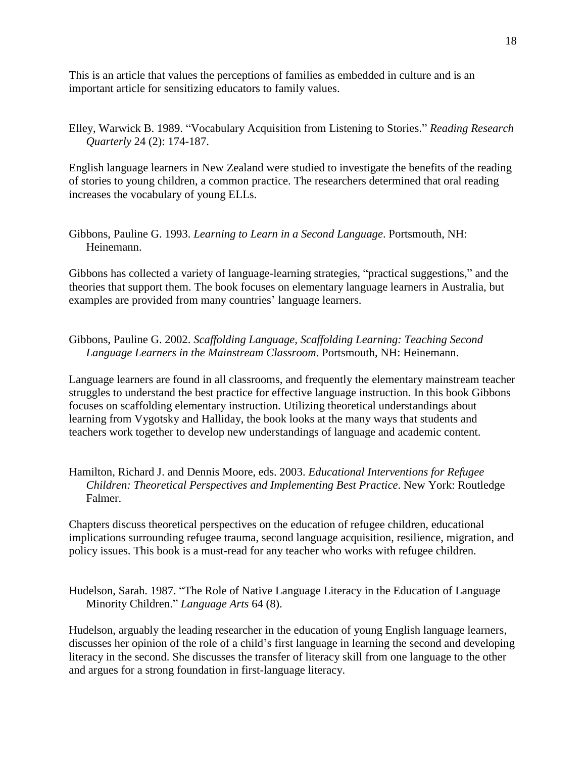This is an article that values the perceptions of families as embedded in culture and is an important article for sensitizing educators to family values.

Elley, Warwick B. 1989. "Vocabulary Acquisition from Listening to Stories." *Reading Research Quarterly* 24 (2): 174-187.

English language learners in New Zealand were studied to investigate the benefits of the reading of stories to young children, a common practice. The researchers determined that oral reading increases the vocabulary of young ELLs.

Gibbons, Pauline G. 1993. *Learning to Learn in a Second Language*. Portsmouth, NH: Heinemann.

Gibbons has collected a variety of language-learning strategies, "practical suggestions," and the theories that support them. The book focuses on elementary language learners in Australia, but examples are provided from many countries' language learners.

Gibbons, Pauline G. 2002. *Scaffolding Language, Scaffolding Learning: Teaching Second Language Learners in the Mainstream Classroom*. Portsmouth, NH: Heinemann.

Language learners are found in all classrooms, and frequently the elementary mainstream teacher struggles to understand the best practice for effective language instruction. In this book Gibbons focuses on scaffolding elementary instruction. Utilizing theoretical understandings about learning from Vygotsky and Halliday, the book looks at the many ways that students and teachers work together to develop new understandings of language and academic content.

#### Hamilton, Richard J. and Dennis Moore, eds. 2003. *Educational Interventions for Refugee Children: Theoretical Perspectives and Implementing Best Practice*. New York: Routledge Falmer.

Chapters discuss theoretical perspectives on the education of refugee children, educational implications surrounding refugee trauma, second language acquisition, resilience, migration, and policy issues. This book is a must-read for any teacher who works with refugee children.

Hudelson, Sarah. 1987. "The Role of Native Language Literacy in the Education of Language Minority Children." *Language Arts* 64 (8).

Hudelson, arguably the leading researcher in the education of young English language learners, discusses her opinion of the role of a child's first language in learning the second and developing literacy in the second. She discusses the transfer of literacy skill from one language to the other and argues for a strong foundation in first-language literacy.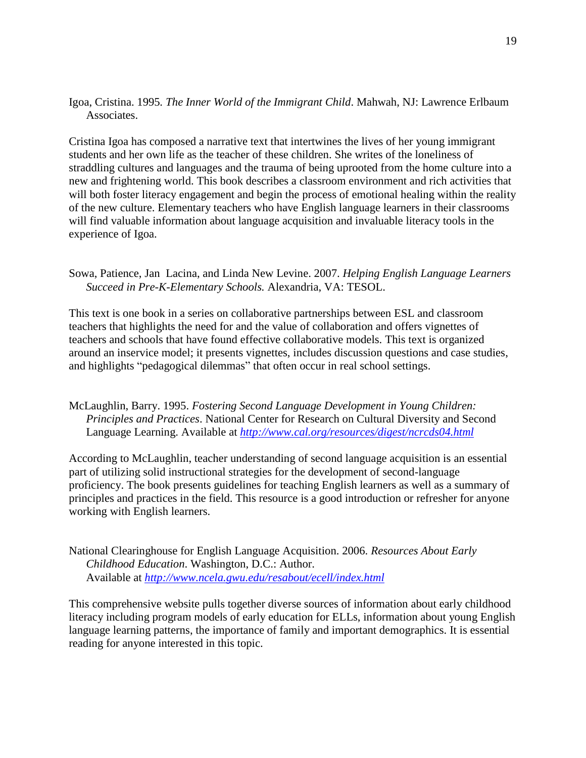### Igoa, Cristina. 1995*. The Inner World of the Immigrant Child*. Mahwah, NJ: Lawrence Erlbaum Associates.

Cristina Igoa has composed a narrative text that intertwines the lives of her young immigrant students and her own life as the teacher of these children. She writes of the loneliness of straddling cultures and languages and the trauma of being uprooted from the home culture into a new and frightening world. This book describes a classroom environment and rich activities that will both foster literacy engagement and begin the process of emotional healing within the reality of the new culture. Elementary teachers who have English language learners in their classrooms will find valuable information about language acquisition and invaluable literacy tools in the experience of Igoa.

Sowa, Patience, Jan Lacina, and Linda New Levine. 2007. *Helping English Language Learners Succeed in Pre-K-Elementary Schools.* Alexandria, VA: TESOL.

This text is one book in a series on collaborative partnerships between ESL and classroom teachers that highlights the need for and the value of collaboration and offers vignettes of teachers and schools that have found effective collaborative models. This text is organized around an inservice model; it presents vignettes, includes discussion questions and case studies, and highlights "pedagogical dilemmas" that often occur in real school settings.

McLaughlin, Barry. 1995. *Fostering Second Language Development in Young Children: Principles and Practices*. National Center for Research on Cultural Diversity and Second Language Learning. Available at *<http://www.cal.org/resources/digest/ncrcds04.html>*

According to McLaughlin, teacher understanding of second language acquisition is an essential part of utilizing solid instructional strategies for the development of second-language proficiency. The book presents guidelines for teaching English learners as well as a summary of principles and practices in the field. This resource is a good introduction or refresher for anyone working with English learners.

National Clearinghouse for English Language Acquisition. 2006. *Resources About Early Childhood Education*. Washington, D.C.: Author. Available at *<http://www.ncela.gwu.edu/resabout/ecell/index.html>*

This comprehensive website pulls together diverse sources of information about early childhood literacy including program models of early education for ELLs, information about young English language learning patterns, the importance of family and important demographics. It is essential reading for anyone interested in this topic.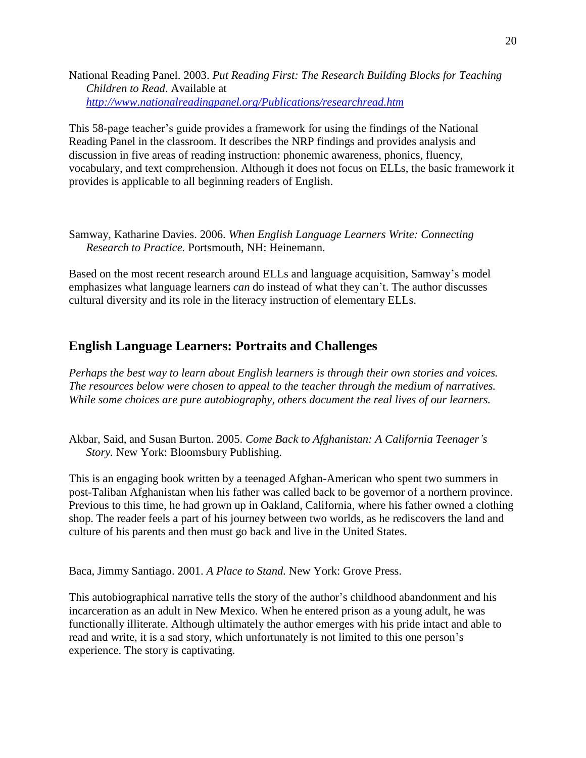<span id="page-19-0"></span>National Reading Panel. 2003. *Put Reading First: The Research Building Blocks for Teaching Children to Read*. Available at *<http://www.nationalreadingpanel.org/Publications/researchread.htm>*

This 58-page teacher's guide provides a framework for using the findings of the National Reading Panel in the classroom. It describes the NRP findings and provides analysis and discussion in five areas of reading instruction: phonemic awareness, phonics, fluency, vocabulary, and text comprehension. Although it does not focus on ELLs, the basic framework it provides is applicable to all beginning readers of English.

Samway, Katharine Davies. 2006. *When English Language Learners Write: Connecting Research to Practice.* Portsmouth, NH: Heinemann.

Based on the most recent research around ELLs and language acquisition, Samway's model emphasizes what language learners *can* do instead of what they can't. The author discusses cultural diversity and its role in the literacy instruction of elementary ELLs.

## **English Language Learners: Portraits and Challenges**

*Perhaps the best way to learn about English learners is through their own stories and voices. The resources below were chosen to appeal to the teacher through the medium of narratives. While some choices are pure autobiography, others document the real lives of our learners.*

Akbar, Said, and Susan Burton. 2005. *Come Back to Afghanistan: A California Teenager's Story.* New York: Bloomsbury Publishing.

This is an engaging book written by a teenaged Afghan-American who spent two summers in post-Taliban Afghanistan when his father was called back to be governor of a northern province. Previous to this time, he had grown up in Oakland, California, where his father owned a clothing shop. The reader feels a part of his journey between two worlds, as he rediscovers the land and culture of his parents and then must go back and live in the United States.

Baca, Jimmy Santiago. 2001. *A Place to Stand.* New York: Grove Press.

This autobiographical narrative tells the story of the author's childhood abandonment and his incarceration as an adult in New Mexico. When he entered prison as a young adult, he was functionally illiterate. Although ultimately the author emerges with his pride intact and able to read and write, it is a sad story, which unfortunately is not limited to this one person's experience. The story is captivating.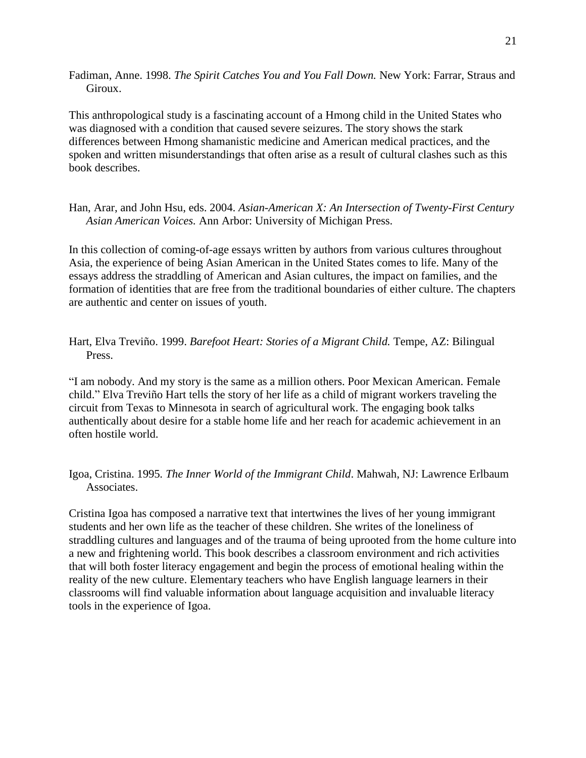Fadiman, Anne. 1998. *The Spirit Catches You and You Fall Down.* New York: Farrar, Straus and Giroux.

This anthropological study is a fascinating account of a Hmong child in the United States who was diagnosed with a condition that caused severe seizures. The story shows the stark differences between Hmong shamanistic medicine and American medical practices, and the spoken and written misunderstandings that often arise as a result of cultural clashes such as this book describes.

Han, Arar, and John Hsu, eds. 2004. *Asian-American X: An Intersection of Twenty-First Century Asian American Voices.* Ann Arbor: University of Michigan Press.

In this collection of coming-of-age essays written by authors from various cultures throughout Asia, the experience of being Asian American in the United States comes to life. Many of the essays address the straddling of American and Asian cultures, the impact on families, and the formation of identities that are free from the traditional boundaries of either culture. The chapters are authentic and center on issues of youth.

### Hart, Elva Treviño. 1999. *Barefoot Heart: Stories of a Migrant Child.* Tempe, AZ: Bilingual Press.

―I am nobody. And my story is the same as a million others. Poor Mexican American. Female child." Elva Treviño Hart tells the story of her life as a child of migrant workers traveling the circuit from Texas to Minnesota in search of agricultural work. The engaging book talks authentically about desire for a stable home life and her reach for academic achievement in an often hostile world.

Igoa, Cristina. 1995*. The Inner World of the Immigrant Child*. Mahwah, NJ: Lawrence Erlbaum Associates.

Cristina Igoa has composed a narrative text that intertwines the lives of her young immigrant students and her own life as the teacher of these children. She writes of the loneliness of straddling cultures and languages and of the trauma of being uprooted from the home culture into a new and frightening world. This book describes a classroom environment and rich activities that will both foster literacy engagement and begin the process of emotional healing within the reality of the new culture. Elementary teachers who have English language learners in their classrooms will find valuable information about language acquisition and invaluable literacy tools in the experience of Igoa.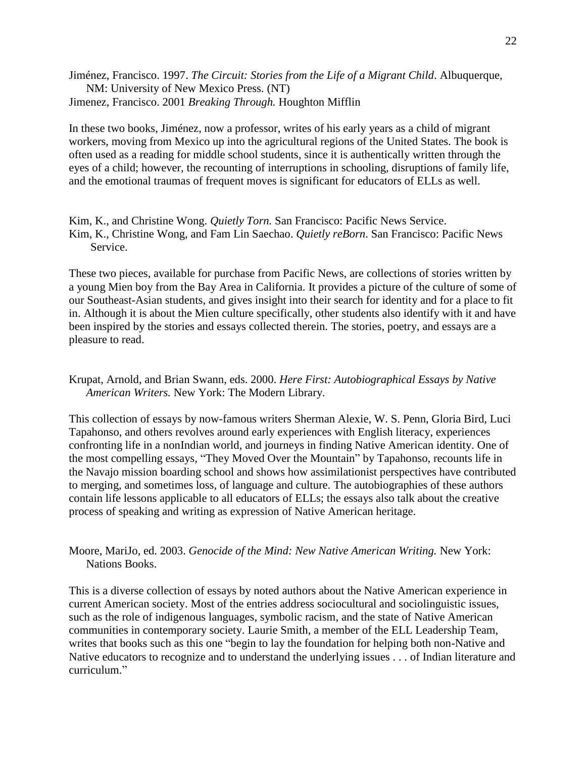Jiménez, Francisco. 1997. *The Circuit: Stories from the Life of a Migrant Child*. Albuquerque, NM: University of New Mexico Press. (NT) Jimenez, Francisco. 2001 *Breaking Through.* Houghton Mifflin

In these two books, Jiménez, now a professor, writes of his early years as a child of migrant workers, moving from Mexico up into the agricultural regions of the United States. The book is often used as a reading for middle school students, since it is authentically written through the eyes of a child; however, the recounting of interruptions in schooling, disruptions of family life, and the emotional traumas of frequent moves is significant for educators of ELLs as well.

Kim, K., and Christine Wong. *Quietly Torn.* San Francisco: Pacific News Service. Kim, K., Christine Wong, and Fam Lin Saechao. *Quietly reBorn*. San Francisco: Pacific News Service.

These two pieces, available for purchase from Pacific News, are collections of stories written by a young Mien boy from the Bay Area in California. It provides a picture of the culture of some of our Southeast-Asian students, and gives insight into their search for identity and for a place to fit in. Although it is about the Mien culture specifically, other students also identify with it and have been inspired by the stories and essays collected therein. The stories, poetry, and essays are a pleasure to read.

Krupat, Arnold, and Brian Swann, eds. 2000. *Here First: Autobiographical Essays by Native American Writers.* New York: The Modern Library.

This collection of essays by now-famous writers Sherman Alexie, W. S. Penn, Gloria Bird, Luci Tapahonso, and others revolves around early experiences with English literacy, experiences confronting life in a nonIndian world, and journeys in finding Native American identity. One of the most compelling essays, "They Moved Over the Mountain" by Tapahonso, recounts life in the Navajo mission boarding school and shows how assimilationist perspectives have contributed to merging, and sometimes loss, of language and culture. The autobiographies of these authors contain life lessons applicable to all educators of ELLs; the essays also talk about the creative process of speaking and writing as expression of Native American heritage.

Moore, MariJo, ed. 2003. *Genocide of the Mind: New Native American Writing.* New York: Nations Books.

This is a diverse collection of essays by noted authors about the Native American experience in current American society. Most of the entries address sociocultural and sociolinguistic issues, such as the role of indigenous languages, symbolic racism, and the state of Native American communities in contemporary society. Laurie Smith, a member of the ELL Leadership Team, writes that books such as this one "begin to lay the foundation for helping both non-Native and Native educators to recognize and to understand the underlying issues . . . of Indian literature and curriculum."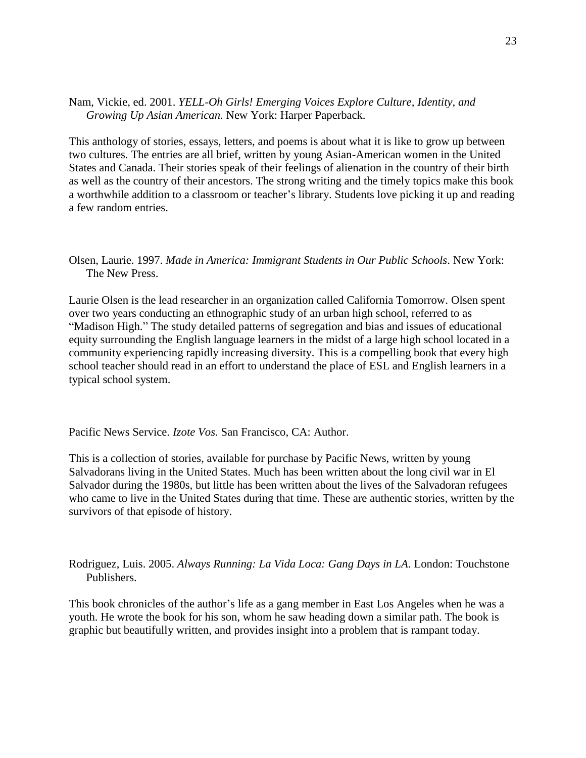Nam, Vickie, ed. 2001. *YELL-Oh Girls! Emerging Voices Explore Culture, Identity, and Growing Up Asian American.* New York: Harper Paperback.

This anthology of stories, essays, letters, and poems is about what it is like to grow up between two cultures. The entries are all brief, written by young Asian-American women in the United States and Canada. Their stories speak of their feelings of alienation in the country of their birth as well as the country of their ancestors. The strong writing and the timely topics make this book a worthwhile addition to a classroom or teacher's library. Students love picking it up and reading a few random entries.

Olsen, Laurie. 1997. *Made in America: Immigrant Students in Our Public Schools*. New York: The New Press.

Laurie Olsen is the lead researcher in an organization called California Tomorrow. Olsen spent over two years conducting an ethnographic study of an urban high school, referred to as "Madison High." The study detailed patterns of segregation and bias and issues of educational equity surrounding the English language learners in the midst of a large high school located in a community experiencing rapidly increasing diversity. This is a compelling book that every high school teacher should read in an effort to understand the place of ESL and English learners in a typical school system.

Pacific News Service. *Izote Vos.* San Francisco, CA: Author.

This is a collection of stories, available for purchase by Pacific News, written by young Salvadorans living in the United States. Much has been written about the long civil war in El Salvador during the 1980s, but little has been written about the lives of the Salvadoran refugees who came to live in the United States during that time. These are authentic stories, written by the survivors of that episode of history.

Rodriguez, Luis. 2005. *Always Running: La Vida Loca: Gang Days in LA.* London: Touchstone Publishers.

This book chronicles of the author's life as a gang member in East Los Angeles when he was a youth. He wrote the book for his son, whom he saw heading down a similar path. The book is graphic but beautifully written, and provides insight into a problem that is rampant today.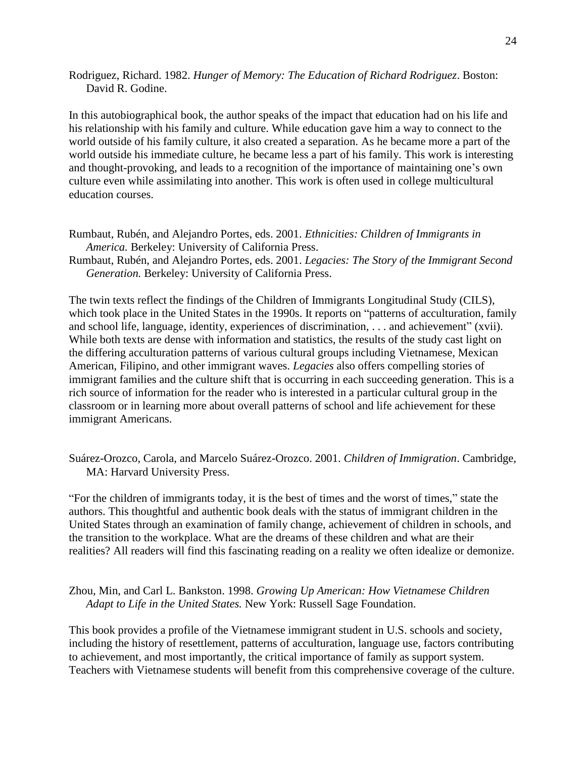Rodriguez, Richard. 1982. *Hunger of Memory: The Education of Richard Rodriguez*. Boston: David R. Godine.

In this autobiographical book, the author speaks of the impact that education had on his life and his relationship with his family and culture. While education gave him a way to connect to the world outside of his family culture, it also created a separation. As he became more a part of the world outside his immediate culture, he became less a part of his family. This work is interesting and thought-provoking, and leads to a recognition of the importance of maintaining one's own culture even while assimilating into another. This work is often used in college multicultural education courses.

- Rumbaut, Rubén, and Alejandro Portes, eds. 2001. *Ethnicities: Children of Immigrants in America.* Berkeley: University of California Press.
- Rumbaut, Rubén, and Alejandro Portes, eds. 2001. *Legacies: The Story of the Immigrant Second Generation.* Berkeley: University of California Press.

The twin texts reflect the findings of the Children of Immigrants Longitudinal Study (CILS), which took place in the United States in the 1990s. It reports on "patterns of acculturation, family and school life, language, identity, experiences of discrimination,  $\dots$  and achievement" (xvii). While both texts are dense with information and statistics, the results of the study cast light on the differing acculturation patterns of various cultural groups including Vietnamese, Mexican American, Filipino, and other immigrant waves. *Legacies* also offers compelling stories of immigrant families and the culture shift that is occurring in each succeeding generation. This is a rich source of information for the reader who is interested in a particular cultural group in the classroom or in learning more about overall patterns of school and life achievement for these immigrant Americans.

Suárez-Orozco, Carola, and Marcelo Suárez-Orozco. 2001. *Children of Immigration*. Cambridge, MA: Harvard University Press.

―For the children of immigrants today, it is the best of times and the worst of times,‖ state the authors. This thoughtful and authentic book deals with the status of immigrant children in the United States through an examination of family change, achievement of children in schools, and the transition to the workplace. What are the dreams of these children and what are their realities? All readers will find this fascinating reading on a reality we often idealize or demonize.

Zhou, Min, and Carl L. Bankston. 1998. *Growing Up American: How Vietnamese Children Adapt to Life in the United States.* New York: Russell Sage Foundation.

This book provides a profile of the Vietnamese immigrant student in U.S. schools and society, including the history of resettlement, patterns of acculturation, language use, factors contributing to achievement, and most importantly, the critical importance of family as support system. Teachers with Vietnamese students will benefit from this comprehensive coverage of the culture.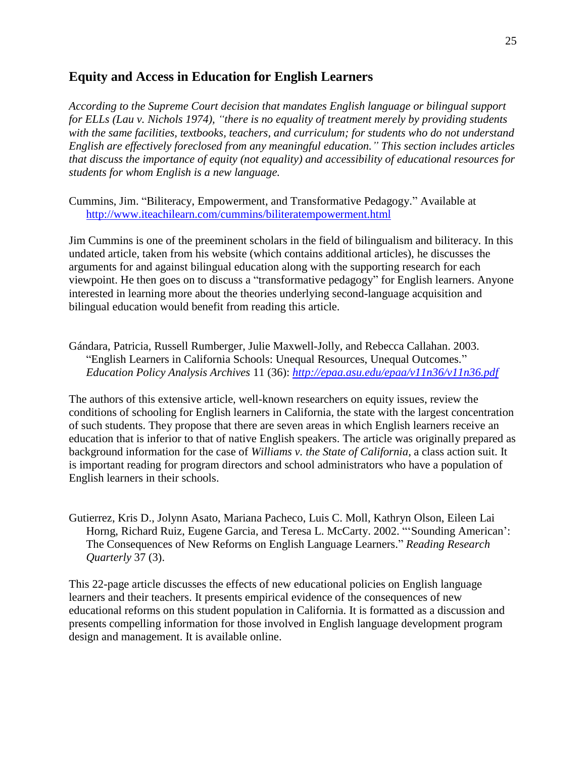# <span id="page-24-0"></span>**Equity and Access in Education for English Learners**

*According to the Supreme Court decision that mandates English language or bilingual support*  for ELLs (Lau v. Nichols 1974), "there is no equality of treatment merely by providing students *with the same facilities, textbooks, teachers, and curriculum; for students who do not understand English are effectively foreclosed from any meaningful education.‖ This section includes articles that discuss the importance of equity (not equality) and accessibility of educational resources for students for whom English is a new language.*

Cummins, Jim. "Biliteracy, Empowerment, and Transformative Pedagogy." Available at <http://www.iteachilearn.com/cummins/biliteratempowerment.html>

Jim Cummins is one of the preeminent scholars in the field of bilingualism and biliteracy. In this undated article, taken from his website (which contains additional articles), he discusses the arguments for and against bilingual education along with the supporting research for each viewpoint. He then goes on to discuss a "transformative pedagogy" for English learners. Anyone interested in learning more about the theories underlying second-language acquisition and bilingual education would benefit from reading this article.

Gándara, Patricia, Russell Rumberger, Julie Maxwell-Jolly, and Rebecca Callahan. 2003. "English Learners in California Schools: Unequal Resources, Unequal Outcomes." *Education Policy Analysis Archives* 11 (36): *<http://epaa.asu.edu/epaa/v11n36/v11n36.pdf>*

The authors of this extensive article, well-known researchers on equity issues, review the conditions of schooling for English learners in California, the state with the largest concentration of such students. They propose that there are seven areas in which English learners receive an education that is inferior to that of native English speakers. The article was originally prepared as background information for the case of *Williams v. the State of California*, a class action suit. It is important reading for program directors and school administrators who have a population of English learners in their schools.

Gutierrez, Kris D., Jolynn Asato, Mariana Pacheco, Luis C. Moll, Kathryn Olson, Eileen Lai Horng, Richard Ruiz, Eugene Garcia, and Teresa L. McCarty. 2002. "'Sounding American': The Consequences of New Reforms on English Language Learners.‖ *Reading Research Quarterly* 37 (3).

This 22-page article discusses the effects of new educational policies on English language learners and their teachers. It presents empirical evidence of the consequences of new educational reforms on this student population in California. It is formatted as a discussion and presents compelling information for those involved in English language development program design and management. It is available online.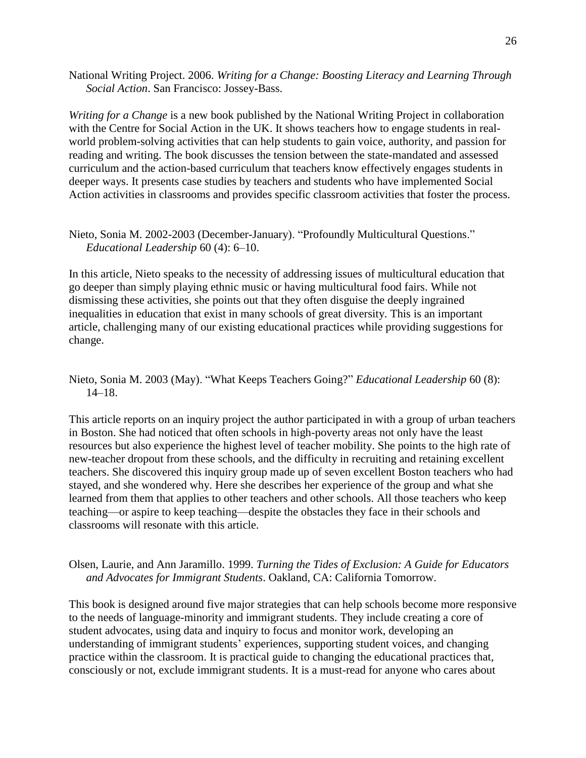National Writing Project. 2006. *Writing for a Change: Boosting Literacy and Learning Through Social Action*. San Francisco: Jossey-Bass.

*Writing for a Change* is a new book published by the National Writing Project in collaboration with the Centre for Social Action in the UK. It shows teachers how to engage students in realworld problem-solving activities that can help students to gain voice, authority, and passion for reading and writing. The book discusses the tension between the state-mandated and assessed curriculum and the action-based curriculum that teachers know effectively engages students in deeper ways. It presents case studies by teachers and students who have implemented Social Action activities in classrooms and provides specific classroom activities that foster the process.

#### Nieto, Sonia M. 2002-2003 (December-January). "Profoundly Multicultural Questions." *Educational Leadership* 60 (4): 6–10.

In this article, Nieto speaks to the necessity of addressing issues of multicultural education that go deeper than simply playing ethnic music or having multicultural food fairs. While not dismissing these activities, she points out that they often disguise the deeply ingrained inequalities in education that exist in many schools of great diversity. This is an important article, challenging many of our existing educational practices while providing suggestions for change.

#### Nieto, Sonia M. 2003 (May). "What Keeps Teachers Going?" *Educational Leadership* 60 (8): 14–18.

This article reports on an inquiry project the author participated in with a group of urban teachers in Boston. She had noticed that often schools in high-poverty areas not only have the least resources but also experience the highest level of teacher mobility. She points to the high rate of new-teacher dropout from these schools, and the difficulty in recruiting and retaining excellent teachers. She discovered this inquiry group made up of seven excellent Boston teachers who had stayed, and she wondered why. Here she describes her experience of the group and what she learned from them that applies to other teachers and other schools. All those teachers who keep teaching—or aspire to keep teaching—despite the obstacles they face in their schools and classrooms will resonate with this article.

#### Olsen, Laurie, and Ann Jaramillo. 1999. *Turning the Tides of Exclusion: A Guide for Educators and Advocates for Immigrant Students*. Oakland, CA: California Tomorrow.

This book is designed around five major strategies that can help schools become more responsive to the needs of language-minority and immigrant students. They include creating a core of student advocates, using data and inquiry to focus and monitor work, developing an understanding of immigrant students' experiences, supporting student voices, and changing practice within the classroom. It is practical guide to changing the educational practices that, consciously or not, exclude immigrant students. It is a must-read for anyone who cares about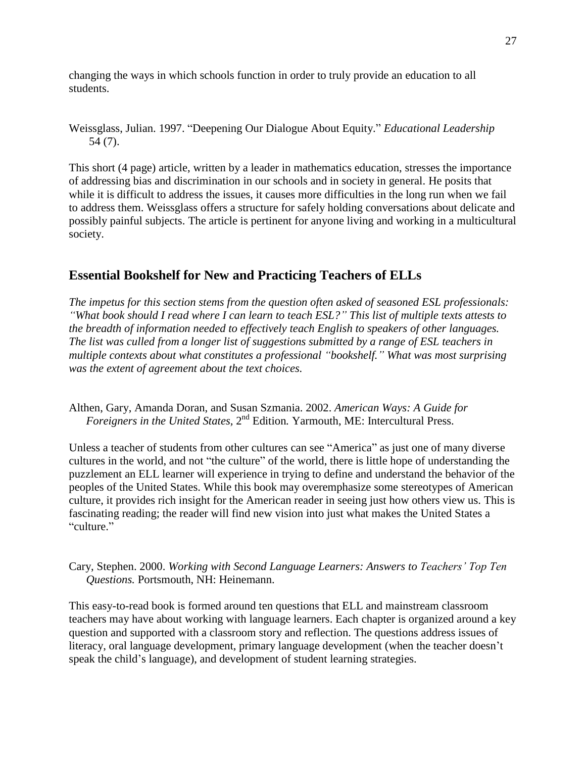<span id="page-26-0"></span>changing the ways in which schools function in order to truly provide an education to all students.

Weissglass, Julian. 1997. "Deepening Our Dialogue About Equity." *Educational Leadership* 54 (7).

This short (4 page) article, written by a leader in mathematics education, stresses the importance of addressing bias and discrimination in our schools and in society in general. He posits that while it is difficult to address the issues, it causes more difficulties in the long run when we fail to address them. Weissglass offers a structure for safely holding conversations about delicate and possibly painful subjects. The article is pertinent for anyone living and working in a multicultural society.

# **Essential Bookshelf for New and Practicing Teachers of ELLs**

*The impetus for this section stems from the question often asked of seasoned ESL professionals: ―What book should I read where I can learn to teach ESL?‖ This list of multiple texts attests to the breadth of information needed to effectively teach English to speakers of other languages. The list was culled from a longer list of suggestions submitted by a range of ESL teachers in multiple contexts about what constitutes a professional ―bookshelf.‖ What was most surprising was the extent of agreement about the text choices.*

Althen, Gary, Amanda Doran, and Susan Szmania. 2002. *American Ways: A Guide for* Foreigners in the United States, 2<sup>nd</sup> Edition. Yarmouth, ME: Intercultural Press.

Unless a teacher of students from other cultures can see "America" as just one of many diverse cultures in the world, and not "the culture" of the world, there is little hope of understanding the puzzlement an ELL learner will experience in trying to define and understand the behavior of the peoples of the United States. While this book may overemphasize some stereotypes of American culture, it provides rich insight for the American reader in seeing just how others view us. This is fascinating reading; the reader will find new vision into just what makes the United States a "culture."

Cary, Stephen. 2000. *Working with Second Language Learners: Answers to Teachers' Top Ten Questions.* Portsmouth, NH: Heinemann.

This easy-to-read book is formed around ten questions that ELL and mainstream classroom teachers may have about working with language learners. Each chapter is organized around a key question and supported with a classroom story and reflection. The questions address issues of literacy, oral language development, primary language development (when the teacher doesn't speak the child's language), and development of student learning strategies.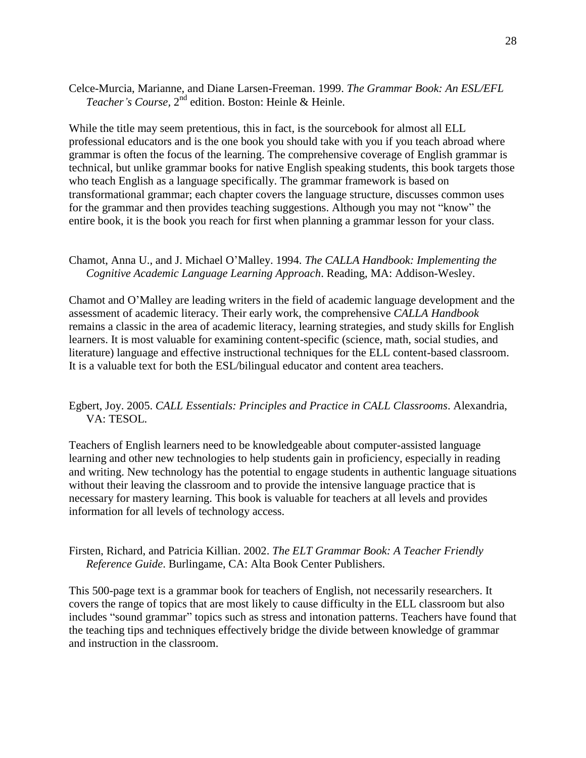Celce-Murcia, Marianne, and Diane Larsen-Freeman. 1999. *The Grammar Book: An ESL/EFL*  Teacher's Course, 2<sup>nd</sup> edition. Boston: Heinle & Heinle.

While the title may seem pretentious, this in fact, is the sourcebook for almost all ELL professional educators and is the one book you should take with you if you teach abroad where grammar is often the focus of the learning. The comprehensive coverage of English grammar is technical, but unlike grammar books for native English speaking students, this book targets those who teach English as a language specifically. The grammar framework is based on transformational grammar; each chapter covers the language structure, discusses common uses for the grammar and then provides teaching suggestions. Although you may not "know" the entire book, it is the book you reach for first when planning a grammar lesson for your class.

#### Chamot, Anna U., and J. Michael O'Malley. 1994. *The CALLA Handbook: Implementing the Cognitive Academic Language Learning Approach*. Reading, MA: Addison-Wesley.

Chamot and O'Malley are leading writers in the field of academic language development and the assessment of academic literacy. Their early work, the comprehensive *CALLA Handbook*  remains a classic in the area of academic literacy, learning strategies, and study skills for English learners. It is most valuable for examining content-specific (science, math, social studies, and literature) language and effective instructional techniques for the ELL content-based classroom. It is a valuable text for both the ESL/bilingual educator and content area teachers.

#### Egbert, Joy. 2005. *CALL Essentials: Principles and Practice in CALL Classrooms*. Alexandria, VA: TESOL.

Teachers of English learners need to be knowledgeable about computer-assisted language learning and other new technologies to help students gain in proficiency, especially in reading and writing. New technology has the potential to engage students in authentic language situations without their leaving the classroom and to provide the intensive language practice that is necessary for mastery learning. This book is valuable for teachers at all levels and provides information for all levels of technology access.

Firsten, Richard, and Patricia Killian. 2002. *The ELT Grammar Book: A Teacher Friendly Reference Guide*. Burlingame, CA: Alta Book Center Publishers.

This 500-page text is a grammar book for teachers of English, not necessarily researchers. It covers the range of topics that are most likely to cause difficulty in the ELL classroom but also includes "sound grammar" topics such as stress and intonation patterns. Teachers have found that the teaching tips and techniques effectively bridge the divide between knowledge of grammar and instruction in the classroom.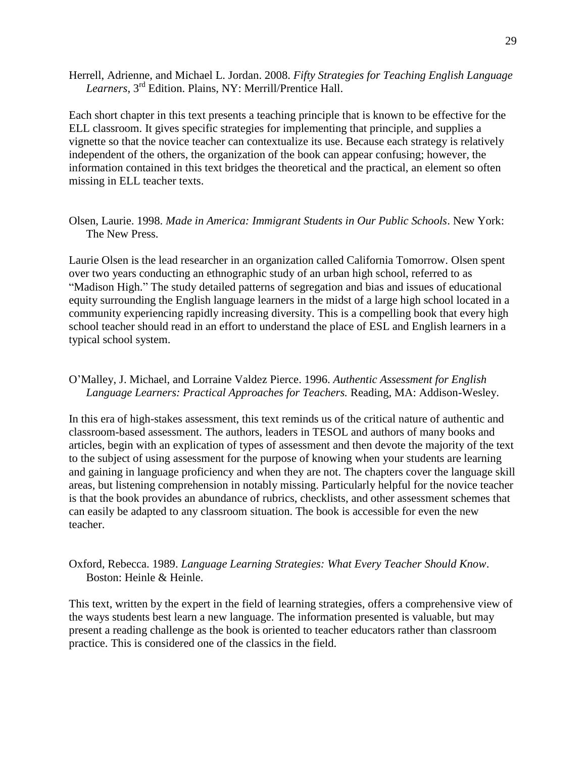Herrell, Adrienne, and Michael L. Jordan. 2008. *Fifty Strategies for Teaching English Language Learners*, 3 rd Edition. Plains, NY: Merrill/Prentice Hall.

Each short chapter in this text presents a teaching principle that is known to be effective for the ELL classroom. It gives specific strategies for implementing that principle, and supplies a vignette so that the novice teacher can contextualize its use. Because each strategy is relatively independent of the others, the organization of the book can appear confusing; however, the information contained in this text bridges the theoretical and the practical, an element so often missing in ELL teacher texts.

#### Olsen, Laurie. 1998. *Made in America: Immigrant Students in Our Public Schools*. New York: The New Press.

Laurie Olsen is the lead researcher in an organization called California Tomorrow. Olsen spent over two years conducting an ethnographic study of an urban high school, referred to as ―Madison High.‖ The study detailed patterns of segregation and bias and issues of educational equity surrounding the English language learners in the midst of a large high school located in a community experiencing rapidly increasing diversity. This is a compelling book that every high school teacher should read in an effort to understand the place of ESL and English learners in a typical school system.

#### O'Malley, J. Michael, and Lorraine Valdez Pierce. 1996. *Authentic Assessment for English Language Learners: Practical Approaches for Teachers.* Reading, MA: Addison-Wesley.

In this era of high-stakes assessment, this text reminds us of the critical nature of authentic and classroom-based assessment. The authors, leaders in TESOL and authors of many books and articles, begin with an explication of types of assessment and then devote the majority of the text to the subject of using assessment for the purpose of knowing when your students are learning and gaining in language proficiency and when they are not. The chapters cover the language skill areas, but listening comprehension in notably missing. Particularly helpful for the novice teacher is that the book provides an abundance of rubrics, checklists, and other assessment schemes that can easily be adapted to any classroom situation. The book is accessible for even the new teacher.

#### Oxford, Rebecca. 1989. *Language Learning Strategies: What Every Teacher Should Know*. Boston: Heinle & Heinle.

This text, written by the expert in the field of learning strategies, offers a comprehensive view of the ways students best learn a new language. The information presented is valuable, but may present a reading challenge as the book is oriented to teacher educators rather than classroom practice. This is considered one of the classics in the field.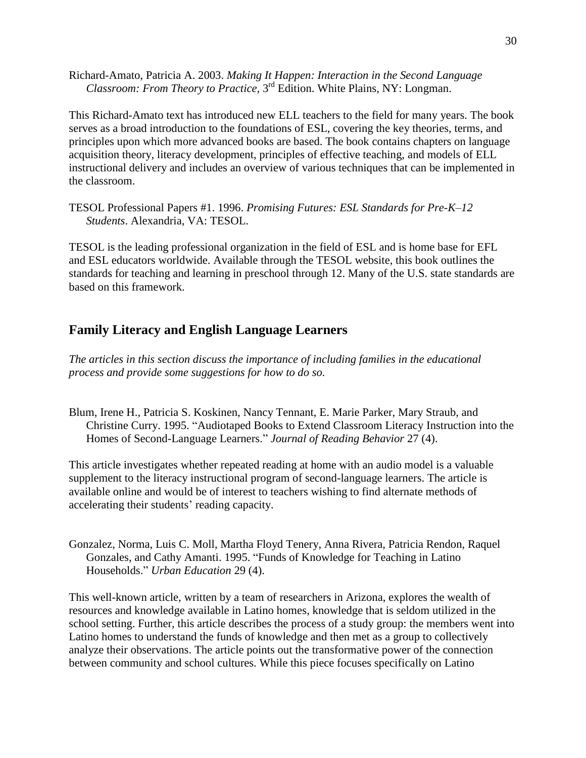<span id="page-29-0"></span>Richard-Amato, Patricia A. 2003. *Making It Happen: Interaction in the Second Language*  Classroom: From Theory to Practice, 3<sup>rd</sup> Edition. White Plains, NY: Longman.

This Richard-Amato text has introduced new ELL teachers to the field for many years. The book serves as a broad introduction to the foundations of ESL, covering the key theories, terms, and principles upon which more advanced books are based. The book contains chapters on language acquisition theory, literacy development, principles of effective teaching, and models of ELL instructional delivery and includes an overview of various techniques that can be implemented in the classroom.

TESOL Professional Papers #1. 1996. *Promising Futures: ESL Standards for Pre-K–12 Students*. Alexandria, VA: TESOL.

TESOL is the leading professional organization in the field of ESL and is home base for EFL and ESL educators worldwide. Available through the TESOL website, this book outlines the standards for teaching and learning in preschool through 12. Many of the U.S. state standards are based on this framework.

# **Family Literacy and English Language Learners**

*The articles in this section discuss the importance of including families in the educational process and provide some suggestions for how to do so.*

Blum, Irene H., Patricia S. Koskinen, Nancy Tennant, E. Marie Parker, Mary Straub, and Christine Curry. 1995. "Audiotaped Books to Extend Classroom Literacy Instruction into the Homes of Second-Language Learners.‖ *Journal of Reading Behavior* 27 (4).

This article investigates whether repeated reading at home with an audio model is a valuable supplement to the literacy instructional program of second-language learners. The article is available online and would be of interest to teachers wishing to find alternate methods of accelerating their students' reading capacity.

Gonzalez, Norma, Luis C. Moll, Martha Floyd Tenery, Anna Rivera, Patricia Rendon, Raquel Gonzales, and Cathy Amanti. 1995. "Funds of Knowledge for Teaching in Latino Households.‖ *Urban Education* 29 (4).

This well-known article, written by a team of researchers in Arizona, explores the wealth of resources and knowledge available in Latino homes, knowledge that is seldom utilized in the school setting. Further, this article describes the process of a study group: the members went into Latino homes to understand the funds of knowledge and then met as a group to collectively analyze their observations. The article points out the transformative power of the connection between community and school cultures. While this piece focuses specifically on Latino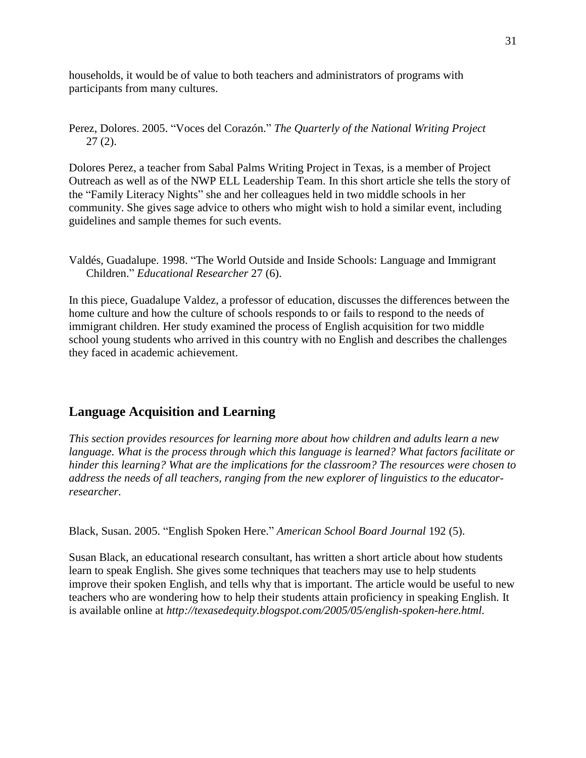<span id="page-30-0"></span>households, it would be of value to both teachers and administrators of programs with participants from many cultures.

Perez, Dolores. 2005. "Voces del Corazón." *The Quarterly of the National Writing Project* 27 (2).

Dolores Perez, a teacher from Sabal Palms Writing Project in Texas, is a member of Project Outreach as well as of the NWP ELL Leadership Team. In this short article she tells the story of the "Family Literacy Nights" she and her colleagues held in two middle schools in her community. She gives sage advice to others who might wish to hold a similar event, including guidelines and sample themes for such events.

Valdés, Guadalupe. 1998. "The World Outside and Inside Schools: Language and Immigrant Children.‖ *Educational Researcher* 27 (6).

In this piece, Guadalupe Valdez, a professor of education, discusses the differences between the home culture and how the culture of schools responds to or fails to respond to the needs of immigrant children. Her study examined the process of English acquisition for two middle school young students who arrived in this country with no English and describes the challenges they faced in academic achievement.

## **Language Acquisition and Learning**

*This section provides resources for learning more about how children and adults learn a new language. What is the process through which this language is learned? What factors facilitate or hinder this learning? What are the implications for the classroom? The resources were chosen to address the needs of all teachers, ranging from the new explorer of linguistics to the educatorresearcher.*

Black, Susan. 2005. "English Spoken Here." *American School Board Journal* 192 (5).

Susan Black, an educational research consultant, has written a short article about how students learn to speak English. She gives some techniques that teachers may use to help students improve their spoken English, and tells why that is important. The article would be useful to new teachers who are wondering how to help their students attain proficiency in speaking English. It is available online at *http://texasedequity.blogspot.com/2005/05/english-spoken-here.html.*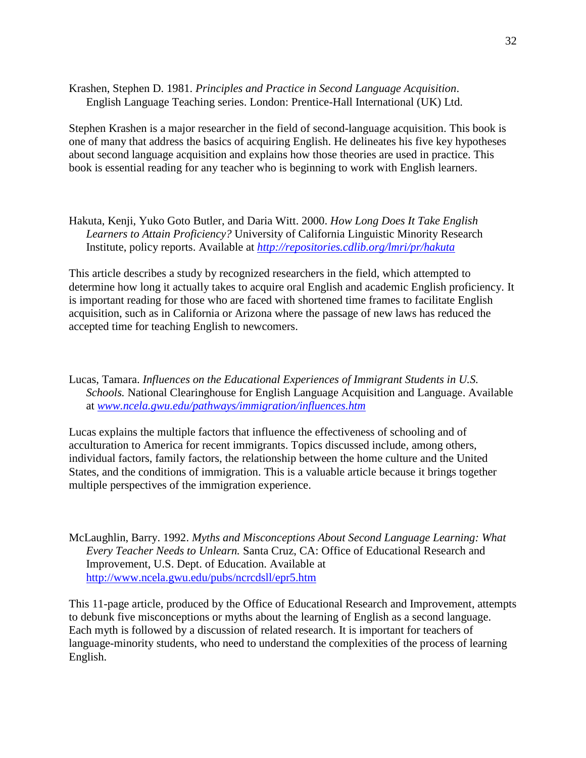Krashen, Stephen D. 1981. *Principles and Practice in Second Language Acquisition*. English Language Teaching series. London: Prentice-Hall International (UK) Ltd.

Stephen Krashen is a major researcher in the field of second-language acquisition. This book is one of many that address the basics of acquiring English. He delineates his five key hypotheses about second language acquisition and explains how those theories are used in practice. This book is essential reading for any teacher who is beginning to work with English learners.

Hakuta, Kenji, Yuko Goto Butler, and Daria Witt. 2000. *How Long Does It Take English Learners to Attain Proficiency?* University of California Linguistic Minority Research Institute, policy reports. Available at *<http://repositories.cdlib.org/lmri/pr/hakuta>*

This article describes a study by recognized researchers in the field, which attempted to determine how long it actually takes to acquire oral English and academic English proficiency. It is important reading for those who are faced with shortened time frames to facilitate English acquisition, such as in California or Arizona where the passage of new laws has reduced the accepted time for teaching English to newcomers.

Lucas, Tamara. *Influences on the Educational Experiences of Immigrant Students in U.S. Schools.* National Clearinghouse for English Language Acquisition and Language. Available at *[www.ncela.gwu.edu/pathways/immigration/influences.htm](http://www.ncela.gwu.edu/pathways/immigration/influences.htm)*

Lucas explains the multiple factors that influence the effectiveness of schooling and of acculturation to America for recent immigrants. Topics discussed include, among others, individual factors, family factors, the relationship between the home culture and the United States, and the conditions of immigration. This is a valuable article because it brings together multiple perspectives of the immigration experience.

McLaughlin, Barry. 1992. *Myths and Misconceptions About Second Language Learning: What Every Teacher Needs to Unlearn.* Santa Cruz, CA: Office of Educational Research and Improvement, U.S. Dept. of Education. Available at <http://www.ncela.gwu.edu/pubs/ncrcdsll/epr5.htm>

This 11-page article, produced by the Office of Educational Research and Improvement, attempts to debunk five misconceptions or myths about the learning of English as a second language. Each myth is followed by a discussion of related research. It is important for teachers of language-minority students, who need to understand the complexities of the process of learning English.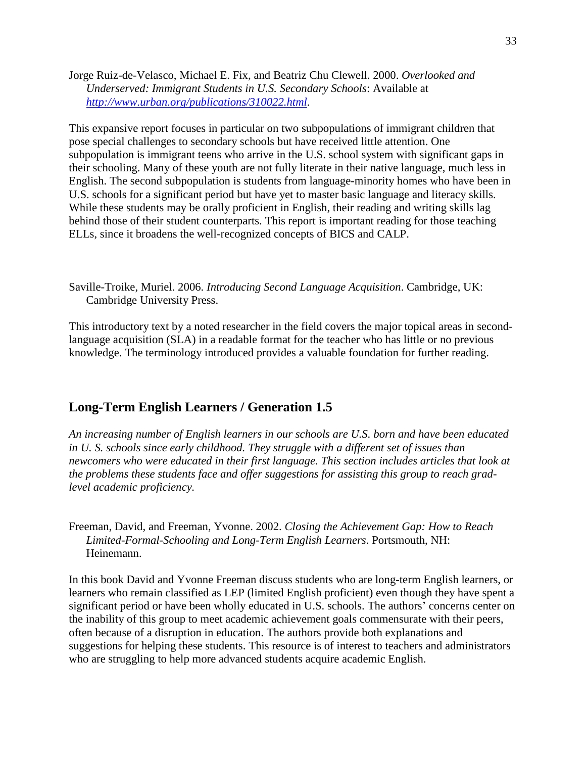<span id="page-32-0"></span>Jorge Ruiz-de-Velasco, Michael E. Fix, and Beatriz Chu Clewell. 2000. *Overlooked and Underserved: Immigrant Students in U.S. Secondary Schools*: Available at *[http://www.urban.org/publications/310022.html.](http://www.urban.org/publications/310022.html)*

This expansive report focuses in particular on two subpopulations of immigrant children that pose special challenges to secondary schools but have received little attention. One subpopulation is immigrant teens who arrive in the U.S. school system with significant gaps in their schooling. Many of these youth are not fully literate in their native language, much less in English. The second subpopulation is students from language-minority homes who have been in U.S. schools for a significant period but have yet to master basic language and literacy skills. While these students may be orally proficient in English, their reading and writing skills lag behind those of their student counterparts. This report is important reading for those teaching ELLs, since it broadens the well-recognized concepts of BICS and CALP.

Saville-Troike, Muriel. 2006. *Introducing Second Language Acquisition*. Cambridge, UK: Cambridge University Press.

This introductory text by a noted researcher in the field covers the major topical areas in secondlanguage acquisition (SLA) in a readable format for the teacher who has little or no previous knowledge. The terminology introduced provides a valuable foundation for further reading.

# **Long-Term English Learners / Generation 1.5**

*An increasing number of English learners in our schools are U.S. born and have been educated in U. S. schools since early childhood. They struggle with a different set of issues than newcomers who were educated in their first language. This section includes articles that look at the problems these students face and offer suggestions for assisting this group to reach gradlevel academic proficiency.*

Freeman, David, and Freeman, Yvonne. 2002. *Closing the Achievement Gap: How to Reach Limited-Formal-Schooling and Long-Term English Learners*. Portsmouth, NH: Heinemann.

In this book David and Yvonne Freeman discuss students who are long-term English learners, or learners who remain classified as LEP (limited English proficient) even though they have spent a significant period or have been wholly educated in U.S. schools. The authors' concerns center on the inability of this group to meet academic achievement goals commensurate with their peers, often because of a disruption in education. The authors provide both explanations and suggestions for helping these students. This resource is of interest to teachers and administrators who are struggling to help more advanced students acquire academic English.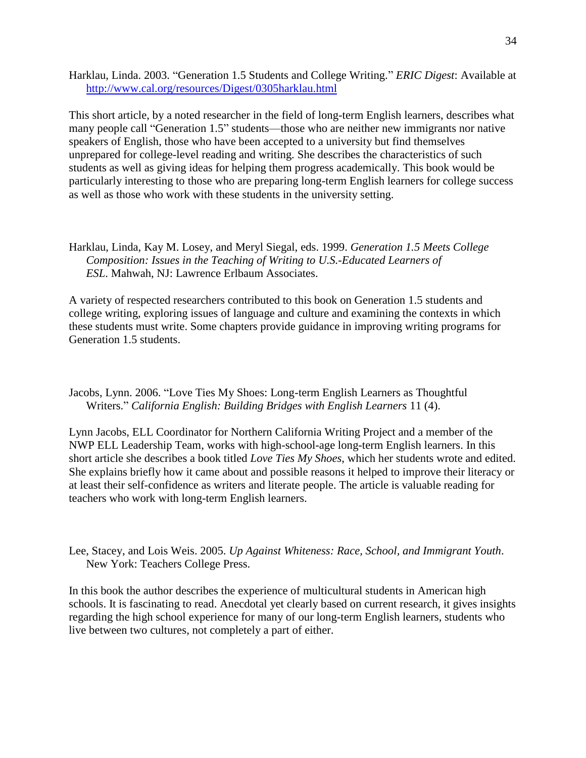Harklau, Linda. 2003. "Generation 1.5 Students and College Writing." *ERIC Digest*: Available at <http://www.cal.org/resources/Digest/0305harklau.html>

This short article, by a noted researcher in the field of long-term English learners, describes what many people call "Generation 1.5" students—those who are neither new immigrants nor native speakers of English, those who have been accepted to a university but find themselves unprepared for college-level reading and writing. She describes the characteristics of such students as well as giving ideas for helping them progress academically. This book would be particularly interesting to those who are preparing long-term English learners for college success as well as those who work with these students in the university setting.

Harklau, Linda, Kay M. Losey, and Meryl Siegal, eds. 1999. *Generation 1.5 Meets College Composition: Issues in the Teaching of Writing to U.S.-Educated Learners of ESL*. Mahwah, NJ: Lawrence Erlbaum Associates.

A variety of respected researchers contributed to this book on Generation 1.5 students and college writing, exploring issues of language and culture and examining the contexts in which these students must write. Some chapters provide guidance in improving writing programs for Generation 1.5 students.

Jacobs, Lynn. 2006. "Love Ties My Shoes: Long-term English Learners as Thoughtful Writers.‖ *California English: Building Bridges with English Learners* 11 (4).

Lynn Jacobs, ELL Coordinator for Northern California Writing Project and a member of the NWP ELL Leadership Team, works with high-school-age long-term English learners. In this short article she describes a book titled *Love Ties My Shoes*, which her students wrote and edited. She explains briefly how it came about and possible reasons it helped to improve their literacy or at least their self-confidence as writers and literate people. The article is valuable reading for teachers who work with long-term English learners.

Lee, Stacey, and Lois Weis. 2005. *Up Against Whiteness: Race, School, and Immigrant Youth*. New York: Teachers College Press.

In this book the author describes the experience of multicultural students in American high schools. It is fascinating to read. Anecdotal yet clearly based on current research, it gives insights regarding the high school experience for many of our long-term English learners, students who live between two cultures, not completely a part of either.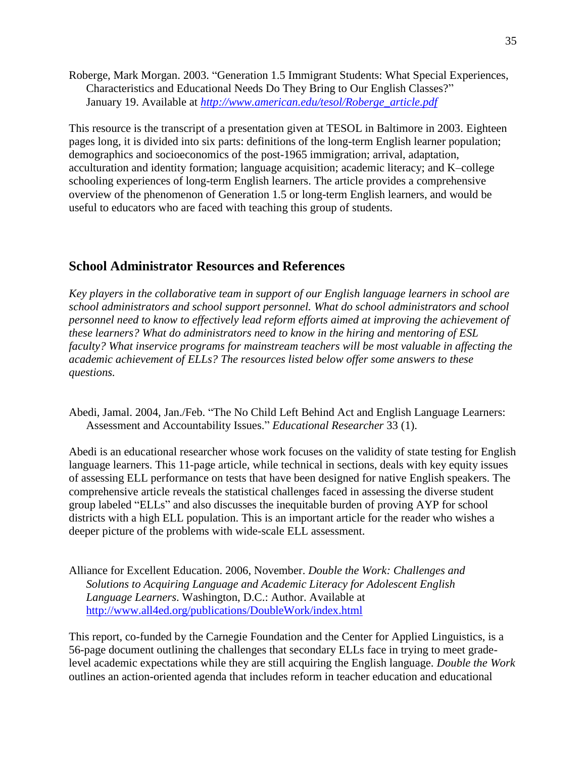<span id="page-34-0"></span>Roberge, Mark Morgan. 2003. "Generation 1.5 Immigrant Students: What Special Experiences, Characteristics and Educational Needs Do They Bring to Our English Classes?" January 19. Available at *[http://www.american.edu/tesol/Roberge\\_article.pdf](http://www.american.edu/tesol/Roberge_article.pdf)*

This resource is the transcript of a presentation given at TESOL in Baltimore in 2003. Eighteen pages long, it is divided into six parts: definitions of the long-term English learner population; demographics and socioeconomics of the post-1965 immigration; arrival, adaptation, acculturation and identity formation; language acquisition; academic literacy; and K–college schooling experiences of long-term English learners. The article provides a comprehensive overview of the phenomenon of Generation 1.5 or long-term English learners, and would be useful to educators who are faced with teaching this group of students.

### **School Administrator Resources and References**

*Key players in the collaborative team in support of our English language learners in school are school administrators and school support personnel. What do school administrators and school personnel need to know to effectively lead reform efforts aimed at improving the achievement of these learners? What do administrators need to know in the hiring and mentoring of ESL faculty? What inservice programs for mainstream teachers will be most valuable in affecting the academic achievement of ELLs? The resources listed below offer some answers to these questions.*

Abedi, Jamal. 2004, Jan./Feb. "The No Child Left Behind Act and English Language Learners: Assessment and Accountability Issues." *Educational Researcher* 33 (1).

Abedi is an educational researcher whose work focuses on the validity of state testing for English language learners. This 11-page article, while technical in sections, deals with key equity issues of assessing ELL performance on tests that have been designed for native English speakers. The comprehensive article reveals the statistical challenges faced in assessing the diverse student group labeled "ELLs" and also discusses the inequitable burden of proving AYP for school districts with a high ELL population. This is an important article for the reader who wishes a deeper picture of the problems with wide-scale ELL assessment.

Alliance for Excellent Education. 2006, November. *Double the Work: Challenges and Solutions to Acquiring Language and Academic Literacy for Adolescent English Language Learners*. Washington, D.C.: Author. Available at <http://www.all4ed.org/publications/DoubleWork/index.html>

This report, co-funded by the Carnegie Foundation and the Center for Applied Linguistics, is a 56-page document outlining the challenges that secondary ELLs face in trying to meet gradelevel academic expectations while they are still acquiring the English language. *Double the Work* outlines an action-oriented agenda that includes reform in teacher education and educational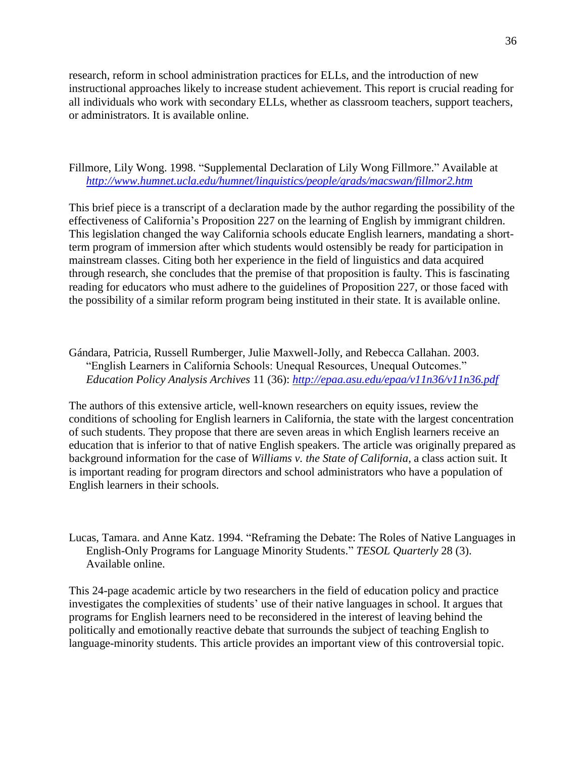research, reform in school administration practices for ELLs, and the introduction of new instructional approaches likely to increase student achievement. This report is crucial reading for all individuals who work with secondary ELLs, whether as classroom teachers, support teachers, or administrators. It is available online.

#### Fillmore, Lily Wong. 1998. "Supplemental Declaration of Lily Wong Fillmore." Available at *<http://www.humnet.ucla.edu/humnet/linguistics/people/grads/macswan/fillmor2.htm>*

This brief piece is a transcript of a declaration made by the author regarding the possibility of the effectiveness of California's Proposition 227 on the learning of English by immigrant children. This legislation changed the way California schools educate English learners, mandating a shortterm program of immersion after which students would ostensibly be ready for participation in mainstream classes. Citing both her experience in the field of linguistics and data acquired through research, she concludes that the premise of that proposition is faulty. This is fascinating reading for educators who must adhere to the guidelines of Proposition 227, or those faced with the possibility of a similar reform program being instituted in their state. It is available online.

Gándara, Patricia, Russell Rumberger, Julie Maxwell-Jolly, and Rebecca Callahan. 2003. "English Learners in California Schools: Unequal Resources, Unequal Outcomes." *Education Policy Analysis Archives* 11 (36): *<http://epaa.asu.edu/epaa/v11n36/v11n36.pdf>*

The authors of this extensive article, well-known researchers on equity issues, review the conditions of schooling for English learners in California, the state with the largest concentration of such students. They propose that there are seven areas in which English learners receive an education that is inferior to that of native English speakers. The article was originally prepared as background information for the case of *Williams v. the State of California*, a class action suit. It is important reading for program directors and school administrators who have a population of English learners in their schools.

Lucas, Tamara. and Anne Katz. 1994. "Reframing the Debate: The Roles of Native Languages in English-Only Programs for Language Minority Students.‖ *TESOL Quarterly* 28 (3). Available online.

This 24-page academic article by two researchers in the field of education policy and practice investigates the complexities of students' use of their native languages in school. It argues that programs for English learners need to be reconsidered in the interest of leaving behind the politically and emotionally reactive debate that surrounds the subject of teaching English to language-minority students. This article provides an important view of this controversial topic.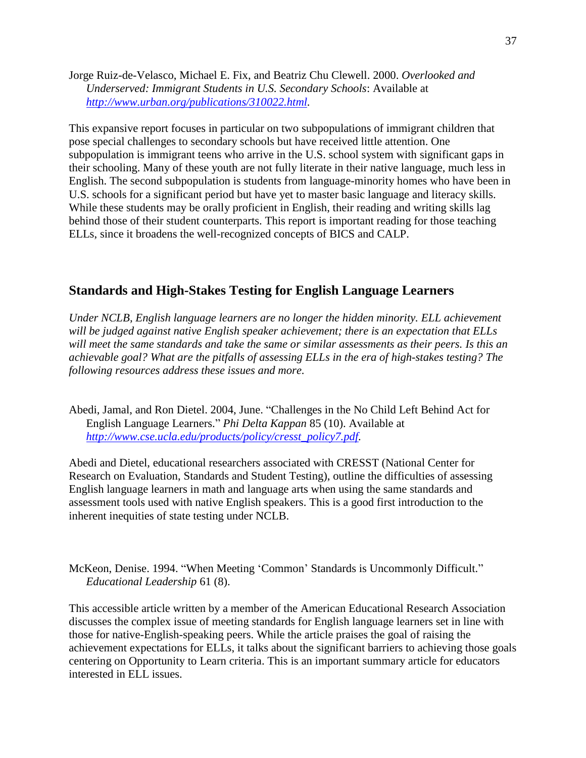<span id="page-36-0"></span>Jorge Ruiz-de-Velasco, Michael E. Fix, and Beatriz Chu Clewell. 2000. *Overlooked and Underserved: Immigrant Students in U.S. Secondary Schools*: Available at *[http://www.urban.org/publications/310022.html.](http://www.urban.org/publications/310022.html)*

This expansive report focuses in particular on two subpopulations of immigrant children that pose special challenges to secondary schools but have received little attention. One subpopulation is immigrant teens who arrive in the U.S. school system with significant gaps in their schooling. Many of these youth are not fully literate in their native language, much less in English. The second subpopulation is students from language-minority homes who have been in U.S. schools for a significant period but have yet to master basic language and literacy skills. While these students may be orally proficient in English, their reading and writing skills lag behind those of their student counterparts. This report is important reading for those teaching ELLs, since it broadens the well-recognized concepts of BICS and CALP.

## **Standards and High-Stakes Testing for English Language Learners**

*Under NCLB, English language learners are no longer the hidden minority. ELL achievement will be judged against native English speaker achievement; there is an expectation that ELLs will meet the same standards and take the same or similar assessments as their peers. Is this an achievable goal? What are the pitfalls of assessing ELLs in the era of high-stakes testing? The following resources address these issues and more.*

Abedi, Jamal, and Ron Dietel. 2004, June. "Challenges in the No Child Left Behind Act for English Language Learners.‖ *Phi Delta Kappan* 85 (10). Available at *[http://www.cse.ucla.edu/products/policy/cresst\\_policy7.pdf.](http://www.cse.ucla.edu/products/policy/cresst_policy7.pdf)* 

Abedi and Dietel, educational researchers associated with CRESST (National Center for Research on Evaluation, Standards and Student Testing), outline the difficulties of assessing English language learners in math and language arts when using the same standards and assessment tools used with native English speakers. This is a good first introduction to the inherent inequities of state testing under NCLB.

McKeon, Denise. 1994. "When Meeting 'Common' Standards is Uncommonly Difficult." *Educational Leadership* 61 (8).

This accessible article written by a member of the American Educational Research Association discusses the complex issue of meeting standards for English language learners set in line with those for native-English-speaking peers. While the article praises the goal of raising the achievement expectations for ELLs, it talks about the significant barriers to achieving those goals centering on Opportunity to Learn criteria. This is an important summary article for educators interested in ELL issues.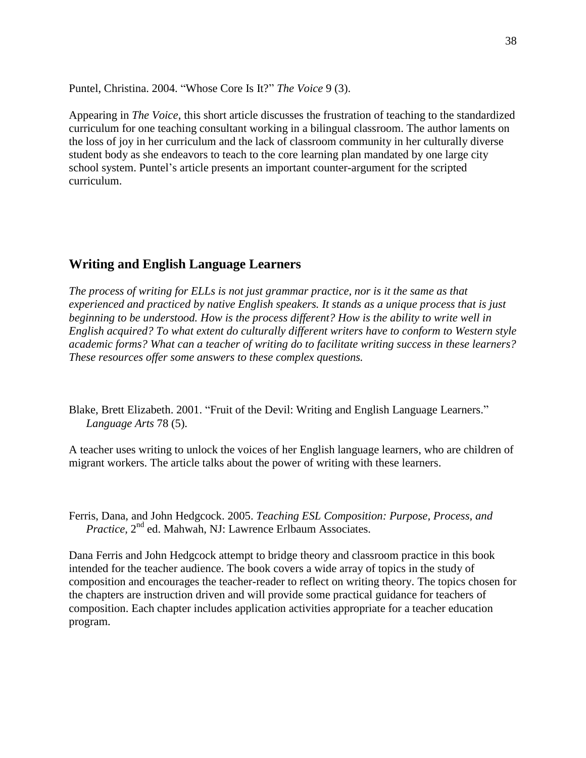<span id="page-37-0"></span>Puntel, Christina. 2004. "Whose Core Is It?" *The Voice* 9 (3).

Appearing in *The Voice*, this short article discusses the frustration of teaching to the standardized curriculum for one teaching consultant working in a bilingual classroom. The author laments on the loss of joy in her curriculum and the lack of classroom community in her culturally diverse student body as she endeavors to teach to the core learning plan mandated by one large city school system. Puntel's article presents an important counter-argument for the scripted curriculum.

#### **Writing and English Language Learners**

*The process of writing for ELLs is not just grammar practice, nor is it the same as that experienced and practiced by native English speakers. It stands as a unique process that is just beginning to be understood. How is the process different? How is the ability to write well in English acquired? To what extent do culturally different writers have to conform to Western style academic forms? What can a teacher of writing do to facilitate writing success in these learners? These resources offer some answers to these complex questions.*

Blake, Brett Elizabeth. 2001. "Fruit of the Devil: Writing and English Language Learners." *Language Arts* 78 (5).

A teacher uses writing to unlock the voices of her English language learners, who are children of migrant workers. The article talks about the power of writing with these learners.

Ferris, Dana, and John Hedgcock. 2005. *Teaching ESL Composition: Purpose, Process, and*  Practice, 2<sup>nd</sup> ed. Mahwah, NJ: Lawrence Erlbaum Associates.

Dana Ferris and John Hedgcock attempt to bridge theory and classroom practice in this book intended for the teacher audience. The book covers a wide array of topics in the study of composition and encourages the teacher-reader to reflect on writing theory. The topics chosen for the chapters are instruction driven and will provide some practical guidance for teachers of composition. Each chapter includes application activities appropriate for a teacher education program.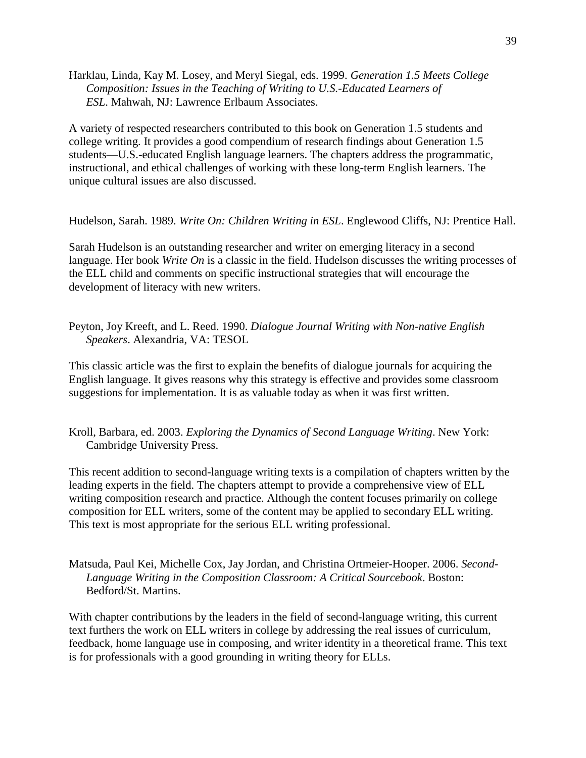Harklau, Linda, Kay M. Losey, and Meryl Siegal, eds. 1999. *Generation 1.5 Meets College Composition: Issues in the Teaching of Writing to U.S.-Educated Learners of ESL*. Mahwah, NJ: Lawrence Erlbaum Associates.

A variety of respected researchers contributed to this book on Generation 1.5 students and college writing. It provides a good compendium of research findings about Generation 1.5 students—U.S.-educated English language learners. The chapters address the programmatic, instructional, and ethical challenges of working with these long-term English learners. The unique cultural issues are also discussed.

Hudelson, Sarah. 1989. *Write On: Children Writing in ESL*. Englewood Cliffs, NJ: Prentice Hall.

Sarah Hudelson is an outstanding researcher and writer on emerging literacy in a second language. Her book *Write On* is a classic in the field. Hudelson discusses the writing processes of the ELL child and comments on specific instructional strategies that will encourage the development of literacy with new writers.

Peyton, Joy Kreeft, and L. Reed. 1990. *Dialogue Journal Writing with Non-native English Speakers*. Alexandria, VA: TESOL

This classic article was the first to explain the benefits of dialogue journals for acquiring the English language. It gives reasons why this strategy is effective and provides some classroom suggestions for implementation. It is as valuable today as when it was first written.

Kroll, Barbara, ed. 2003. *Exploring the Dynamics of Second Language Writing*. New York: Cambridge University Press.

This recent addition to second-language writing texts is a compilation of chapters written by the leading experts in the field. The chapters attempt to provide a comprehensive view of ELL writing composition research and practice. Although the content focuses primarily on college composition for ELL writers, some of the content may be applied to secondary ELL writing. This text is most appropriate for the serious ELL writing professional.

Matsuda, Paul Kei, Michelle Cox, Jay Jordan, and Christina Ortmeier-Hooper. 2006. *Second-Language Writing in the Composition Classroom: A Critical Sourcebook*. Boston: Bedford/St. Martins.

With chapter contributions by the leaders in the field of second-language writing, this current text furthers the work on ELL writers in college by addressing the real issues of curriculum, feedback, home language use in composing, and writer identity in a theoretical frame. This text is for professionals with a good grounding in writing theory for ELLs.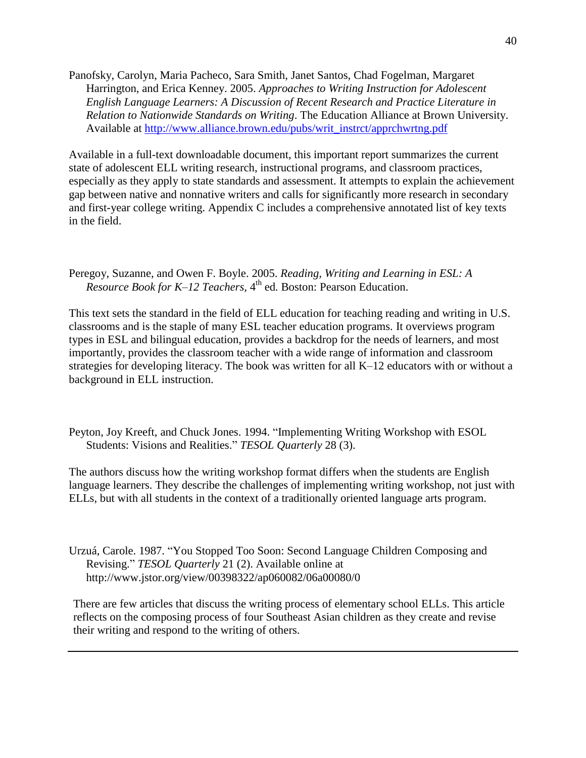Panofsky, Carolyn, Maria Pacheco, Sara Smith, Janet Santos, Chad Fogelman, Margaret Harrington, and Erica Kenney. 2005. *Approaches to Writing Instruction for Adolescent English Language Learners: A Discussion of Recent Research and Practice Literature in Relation to Nationwide Standards on Writing*. The Education Alliance at Brown University. Available at [http://www.alliance.brown.edu/pubs/writ\\_instrct/apprchwrtng.pdf](http://www.alliance.brown.edu/pubs/writ_instrct/apprchwrtng.pdf)

Available in a full-text downloadable document, this important report summarizes the current state of adolescent ELL writing research, instructional programs, and classroom practices, especially as they apply to state standards and assessment. It attempts to explain the achievement gap between native and nonnative writers and calls for significantly more research in secondary and first-year college writing. Appendix C includes a comprehensive annotated list of key texts in the field.

Peregoy, Suzanne, and Owen F. Boyle. 2005. *Reading, Writing and Learning in ESL: A Resource Book for K–12 Teachers,* 4 th ed*.* Boston: Pearson Education.

This text sets the standard in the field of ELL education for teaching reading and writing in U.S. classrooms and is the staple of many ESL teacher education programs. It overviews program types in ESL and bilingual education, provides a backdrop for the needs of learners, and most importantly, provides the classroom teacher with a wide range of information and classroom strategies for developing literacy. The book was written for all K–12 educators with or without a background in ELL instruction.

Peyton, Joy Kreeft, and Chuck Jones. 1994. "Implementing Writing Workshop with ESOL Students: Visions and Realities." *TESOL Quarterly* 28 (3).

The authors discuss how the writing workshop format differs when the students are English language learners. They describe the challenges of implementing writing workshop, not just with ELLs, but with all students in the context of a traditionally oriented language arts program.

Urzuá, Carole. 1987. "You Stopped Too Soon: Second Language Children Composing and Revising." *TESOL Quarterly* 21 (2). Available online at http://www.jstor.org/view/00398322/ap060082/06a00080/0

There are few articles that discuss the writing process of elementary school ELLs. This article reflects on the composing process of four Southeast Asian children as they create and revise their writing and respond to the writing of others.